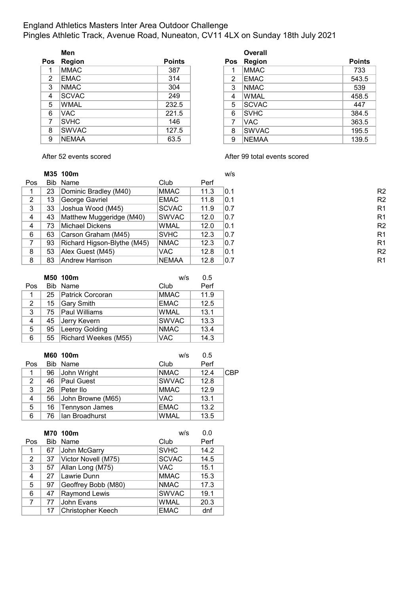### England Athletics Masters Inter Area Outdoor Challenge Pingles Athletic Track, Avenue Road, Nuneaton, CV11 4LX on Sunday 18th July 2021

|                | Men           |               |   | Overall       |               |
|----------------|---------------|---------------|---|---------------|---------------|
| Pos            | <b>Region</b> | <b>Points</b> |   | Pos Region    | <b>Points</b> |
| 1              | <b>MMAC</b>   | 387           |   | <b>MMAC</b>   | 733           |
| $\overline{2}$ | <b>EMAC</b>   | 314           | 2 | EMAC          | 543.5         |
| 3              | <b>NMAC</b>   | 304           | 3 | INMAC.        | 539           |
| 4              | <b>SCVAC</b>  | 249           | 4 | <b>WMAL</b>   | 458.5         |
| 5              | <b>WMAL</b>   | 232.5         | 5 | <b>ISCVAC</b> | 447           |
| 6              | VAC.          | 221.5         | 6 | <b>SVHC</b>   | 384.5         |
| 7              | <b>SVHC</b>   | 146           | 7 | VAC.          | 363.5         |
| 8              | <b>SWVAC</b>  | 127.5         | 8 | <b>SWVAC</b>  | 195.5         |
| 9              | <b>NEMAA</b>  | 63.5          | 9 | NEMAA         | 139.5         |

|    | Men          |               |                | <b>Overall</b> |               |
|----|--------------|---------------|----------------|----------------|---------------|
| )S | Region       | <b>Points</b> | <b>Pos</b>     | <b>Region</b>  | <b>Points</b> |
| 1  | <b>MMAC</b>  | 387           |                | <b>MMAC</b>    | 733           |
| 2  | <b>EMAC</b>  | 314           | $\overline{2}$ | <b>EMAC</b>    | 543.5         |
| 3  | <b>NMAC</b>  | 304           | 3              | <b>NMAC</b>    | 539           |
| 4  | <b>SCVAC</b> | 249           | 4              | <b>WMAL</b>    | 458.5         |
| 5  | <b>WMAL</b>  | 232.5         | 5              | <b>SCVAC</b>   | 447           |
| 6  | VAC.         | 221.5         | 6              | <b>SVHC</b>    | 384.5         |
| 7  | <b>SVHC</b>  | 146           | 7              | <b>VAC</b>     | 363.5         |
| 8  | <b>SWVAC</b> | 127.5         | 8              | <b>SWVAC</b>   | 195.5         |
| 9  | <b>NEMAA</b> | 63.5          | 9              | <b>NEMAA</b>   | 139.5         |

After 52 events scored and a set of the After 99 total events scored

|                |      | M35 100m                    |              |      | w/s |
|----------------|------|-----------------------------|--------------|------|-----|
| Pos            | Bib. | Name                        | Club         | Perf |     |
|                | 23   | Dominic Bradley (M40)       | <b>MMAC</b>  | 11.3 | 0.1 |
| $\overline{2}$ | 13   | George Gavriel              | <b>EMAC</b>  | 11.8 | 0.1 |
| 3              | 33   | Joshua Wood (M45)           | <b>SCVAC</b> | 11.9 | 0.7 |
| 4              | 43   | Matthew Muggeridge (M40)    | SWVAC        | 12.0 | 0.7 |
| 4              | 73   | Michael Dickens             | <b>WMAL</b>  | 12.0 | 0.1 |
| 6              | 63   | Carson Graham (M45)         | <b>SVHC</b>  | 12.3 | 0.7 |
| 7              | 93   | Richard Higson-Blythe (M45) | <b>NMAC</b>  | 12.3 | 0.7 |
| 8              | 53   | Alex Guest (M45)            | VAC.         | 12.8 | 0.1 |
| 8              | 83   | Andrew Harrison             | <b>NEMAA</b> | 12.8 | 0.7 |

| R <sub>2</sub> |
|----------------|
| R <sub>2</sub> |
| R <sub>1</sub> |
| R <sub>1</sub> |
| R <sub>2</sub> |
| R <sub>1</sub> |
| R <sub>1</sub> |
| R <sub>2</sub> |
| R <sub>1</sub> |

|                |    | M50 100m              | w/s          | 0.5  |
|----------------|----|-----------------------|--------------|------|
| Pos            |    | Bib Name              | Club         | Perf |
| 1              |    | 25   Patrick Corcoran | <b>MMAC</b>  | 11.9 |
| $\overline{2}$ | 15 | Gary Smith            | <b>EMAC</b>  | 12.5 |
| 3              |    | 75   Paul Williams    | <b>WMAL</b>  | 13.1 |
| 4              | 45 | Jerry Kevern          | <b>SWVAC</b> | 13.3 |
| 5              | 95 | Leeroy Golding        | <b>NMAC</b>  | 13.4 |
| 6              | 55 | Richard Weekes (M55)  | <b>VAC</b>   | 14.3 |

|     |    | M60 100m              | w/s          | 0.5  |     |
|-----|----|-----------------------|--------------|------|-----|
| Pos |    | Bib Name              | Club         | Perf |     |
| 1   | 96 | John Wright           | <b>NMAC</b>  | 12.4 | CBP |
| 2   | 46 | <b>Paul Guest</b>     | <b>SWVAC</b> | 12.8 |     |
| 3   | 26 | Peter Ilo             | <b>MMAC</b>  | 12.9 |     |
| 4   | 56 | John Browne (M65)     | <b>VAC</b>   | 13.1 |     |
| 5   | 16 | <b>Tennyson James</b> | <b>EMAC</b>  | 13.2 |     |
| 6   | 76 | Ilan Broadhurst       | <b>WMAL</b>  | 13.5 |     |

|                |    | M70 100m                 | w/s          | 0.0  |
|----------------|----|--------------------------|--------------|------|
| Pos            |    | Bib Name                 | Club         | Perf |
| 1              | 67 | John McGarry             | <b>SVHC</b>  | 14.2 |
| $\overline{2}$ | 37 | Victor Novell (M75)      | <b>SCVAC</b> | 14.5 |
| 3              | 57 | Allan Long (M75)         | <b>VAC</b>   | 15.1 |
| 4              | 27 | Lawrie Dunn              | <b>MMAC</b>  | 15.3 |
| 5              | 97 | Geoffrey Bobb (M80)      | <b>NMAC</b>  | 17.3 |
| 6              | 47 | Raymond Lewis            | <b>SWVAC</b> | 19.1 |
| 7              | 77 | John Evans               | <b>WMAL</b>  | 20.3 |
|                | 17 | <b>Christopher Keech</b> | <b>EMAC</b>  | dnf  |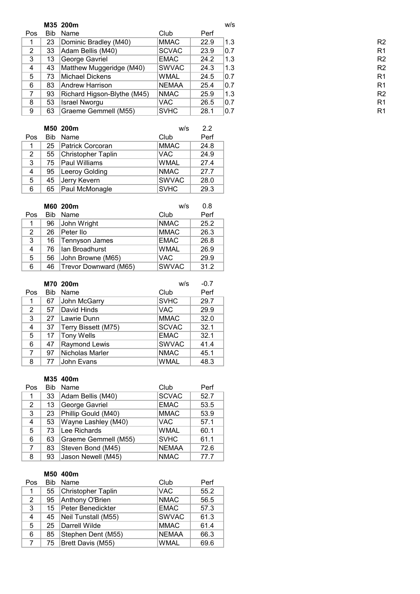|     |            | M35 200m                    |              |      | w/s |
|-----|------------|-----------------------------|--------------|------|-----|
| Pos | <b>Bib</b> | Name                        | Club         | Perf |     |
|     | 23         | Dominic Bradley (M40)       | <b>MMAC</b>  | 22.9 | 1.3 |
| 2   | 33         | Adam Bellis (M40)           | <b>SCVAC</b> | 23.9 | 0.7 |
| 3   | 13         | George Gavriel              | <b>EMAC</b>  | 24.2 | 1.3 |
| 4   | 43         | Matthew Muggeridge (M40)    | <b>SWVAC</b> | 24.3 | 1.3 |
| 5   | 73         | Michael Dickens             | WMAL         | 24.5 | 0.7 |
| 6   | 83         | <b>Andrew Harrison</b>      | <b>NEMAA</b> | 25.4 | 0.7 |
| 7   | 93         | Richard Higson-Blythe (M45) | <b>NMAC</b>  | 25.9 | 1.3 |
| 8   | 53         | <b>Israel Nworgu</b>        | VAC.         | 26.5 | 0.7 |
| 9   | 63         | Graeme Gemmell (M55)        | <b>SVHC</b>  | 28.1 | 0.7 |

|                |     | M50 200m                  | w/s          | 22   |
|----------------|-----|---------------------------|--------------|------|
| Pos            | Bib | Name                      | Club         | Perf |
| 1              | 25  | Patrick Corcoran          | <b>MMAC</b>  | 24.8 |
| $\overline{2}$ | 55  | <b>Christopher Taplin</b> | <b>VAC</b>   | 24.9 |
| 3              | 75  | <b>Paul Williams</b>      | <b>WMAL</b>  | 27.4 |
| 4              | 95  | Leeroy Golding            | <b>NMAC</b>  | 27.7 |
| 5              | 45  | Jerry Kevern              | <b>SWVAC</b> | 28.0 |
| 6              | 65  | Paul McMonagle            | <b>SVHC</b>  | 29.3 |

|                |            | M60 200m              | w/s          | 0.8  |
|----------------|------------|-----------------------|--------------|------|
| Pos            | <b>Bib</b> | Name                  | Club         | Perf |
| 1              | 96         | John Wright           | <b>NMAC</b>  | 25.2 |
| $\overline{2}$ | 26         | Peter Ilo             | <b>MMAC</b>  | 26.3 |
| 3              | 16         | Tennyson James        | <b>EMAC</b>  | 26.8 |
| 4              | 76         | Ian Broadhurst        | <b>WMAL</b>  | 26.9 |
| 5              | 56         | John Browne (M65)     | <b>VAC</b>   | 29.9 |
| 6              | 46         | Trevor Downward (M65) | <b>SWVAC</b> | 31.2 |

|                |            | M70 200m            | w/s          | $-0.7$ |
|----------------|------------|---------------------|--------------|--------|
| Pos            | <b>Bib</b> | Name                | Club         | Perf   |
| 1              | 67         | John McGarry        | <b>SVHC</b>  | 29.7   |
| $\overline{2}$ | 57         | David Hinds         | <b>VAC</b>   | 29.9   |
| 3              | 27         | Lawrie Dunn         | <b>MMAC</b>  | 32.0   |
| 4              | 37         | Terry Bissett (M75) | <b>SCVAC</b> | 32.1   |
| 5              | 17         | Tony Wells          | <b>EMAC</b>  | 32.1   |
| 6              | 47         | Raymond Lewis       | <b>SWVAC</b> | 41.4   |
| 7              | 97         | Nicholas Marler     | <b>NMAC</b>  | 45.1   |
| 8              | 77         | John Evans          | <b>WMAL</b>  | 48.3   |

### **M35 400m**

| Pos | <b>Bib</b> | Name                 | Club         | Perf |
|-----|------------|----------------------|--------------|------|
| 1   | 33         | Adam Bellis (M40)    | <b>SCVAC</b> | 52.7 |
| 2   | 13         | George Gavriel       | <b>EMAC</b>  | 53.5 |
| 3   | 23         | Phillip Gould (M40)  | <b>MMAC</b>  | 53.9 |
| 4   | 53         | Wayne Lashley (M40)  | <b>VAC</b>   | 57.1 |
| 5   | 73         | Lee Richards         | <b>WMAL</b>  | 60.1 |
| 6   | 63         | Graeme Gemmell (M55) | <b>SVHC</b>  | 61.1 |
| 7   | 83         | Steven Bond (M45)    | <b>NEMAA</b> | 72.6 |
| 8   | 93         | Jason Newell (M45)   | <b>NMAC</b>  | 77.7 |

#### **M50 400m**

| Pos         | <b>Bib</b> | Name                      | Club         | Perf |
|-------------|------------|---------------------------|--------------|------|
| 1           | 55         | <b>Christopher Taplin</b> | <b>VAC</b>   | 55.2 |
| 2           | 95         | Anthony O'Brien           | <b>NMAC</b>  | 56.5 |
| 3           | 15         | Peter Benedickter         | <b>EMAC</b>  | 57.3 |
| 4           | 45         | Neil Tunstall (M55)       | <b>SWVAC</b> | 61.3 |
| 5           | 25         | Darrell Wilde             | <b>MMAC</b>  | 61.4 |
| 6           | 85         | Stephen Dent (M55)        | <b>NEMAA</b> | 66.3 |
| $7^{\circ}$ |            | 75   Brett Davis (M55)    | <b>WMAL</b>  | 69.6 |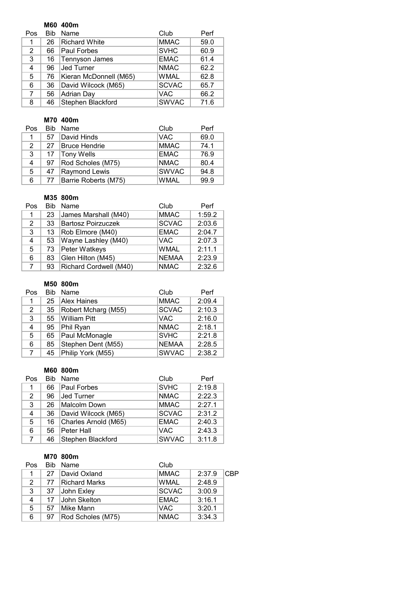### **M60 400m**

| Pos            | Bib | Name                   | Club         | Perf |
|----------------|-----|------------------------|--------------|------|
|                | 26  | <b>Richard White</b>   | <b>MMAC</b>  | 59.0 |
| $\overline{2}$ | 66  | <b>Paul Forbes</b>     | <b>SVHC</b>  | 60.9 |
| 3              | 16  | Tennyson James         | <b>EMAC</b>  | 61.4 |
| 4              | 96  | Jed Turner             | <b>NMAC</b>  | 62.2 |
| 5              | 76  | Kieran McDonnell (M65) | <b>WMAL</b>  | 62.8 |
| 6              | 36  | David Wilcock (M65)    | <b>SCVAC</b> | 65.7 |
| 7              | 56  | Adrian Day             | <b>VAC</b>   | 66.2 |
| 8              | 46  | Stephen Blackford      | <b>SWVAC</b> | 71.6 |

### **M70 400m**

| Pos | <b>Bib</b> | Name                 | Club         | Perf |
|-----|------------|----------------------|--------------|------|
| 1   | 57         | David Hinds          | <b>VAC</b>   | 69.0 |
| 2   | 27         | <b>Bruce Hendrie</b> | <b>MMAC</b>  | 74.1 |
| 3   | 17         | Tony Wells           | <b>EMAC</b>  | 76.9 |
| 4   | 97         | Rod Scholes (M75)    | <b>NMAC</b>  | 80.4 |
| 5   | 47         | Raymond Lewis        | <b>SWVAC</b> | 94.8 |
| 6   | - 77       | Barrie Roberts (M75) | <b>WMAL</b>  | 99.9 |

### **M35 800m**

| Pos         | <b>Bib</b> | Name                      | Club         | Perf   |
|-------------|------------|---------------------------|--------------|--------|
| 1.          | 23         | James Marshall (M40)      | <b>MMAC</b>  | 1:59.2 |
| 2           | 33         | <b>Bartosz Poirzuczek</b> | <b>SCVAC</b> | 2:03.6 |
| 3           | 13         | Rob Elmore (M40)          | <b>EMAC</b>  | 2:04.7 |
| 4           | 53         | Wayne Lashley (M40)       | <b>VAC</b>   | 2:07.3 |
| 5           | 73         | Peter Watkeys             | <b>WMAL</b>  | 2:11.1 |
| 6           | 83         | Glen Hilton (M45)         | <b>NEMAA</b> | 2:23.9 |
| $7^{\circ}$ | 93         | Richard Cordwell (M40)    | <b>NMAC</b>  | 2:32.6 |

### **M50 800m**

| Pos            | <b>Bib</b> | Name                | Club         | Perf   |
|----------------|------------|---------------------|--------------|--------|
| 1              | 25         | Alex Haines         | <b>MMAC</b>  | 2:09.4 |
| $\overline{2}$ | 35         | Robert Mcharg (M55) | <b>SCVAC</b> | 2:10.3 |
| 3              | 55         | William Pitt        | <b>VAC</b>   | 2:16.0 |
| 4              | 95         | Phil Ryan           | <b>NMAC</b>  | 2:18.1 |
| 5              | 65         | Paul McMonagle      | <b>SVHC</b>  | 2:21.8 |
| 6              | 85         | Stephen Dent (M55)  | <b>NEMAA</b> | 2:28.5 |
| $7^{\circ}$    | 45         | Philip York (M55)   | <b>SWVAC</b> | 2:38.2 |

#### **M60 800m**

| Pos         | <b>Bib</b> | Name                 | Club         | Perf   |
|-------------|------------|----------------------|--------------|--------|
| 1           | 66         | Paul Forbes          | <b>SVHC</b>  | 2:19.8 |
| 2           | 96         | <b>Jed Turner</b>    | <b>NMAC</b>  | 2:22.3 |
| 3           | 26         | Malcolm Down         | <b>MMAC</b>  | 2:27.1 |
| 4           | 36         | David Wilcock (M65)  | <b>SCVAC</b> | 2:31.2 |
| 5           | 16         | Charles Arnold (M65) | <b>EMAC</b>  | 2:40.3 |
| 6           | 56         | Peter Hall           | <b>VAC</b>   | 2:43.3 |
| $7^{\circ}$ | 46         | Stephen Blackford    | <b>SWVAC</b> | 3:11.8 |

#### **M70 800m**

| Pos | Bib. | Name              | Club         |        |            |
|-----|------|-------------------|--------------|--------|------------|
| 1   | 27   | David Oxland      | <b>MMAC</b>  | 2:37.9 | <b>CBP</b> |
| 2   | 77   | Richard Marks     | <b>WMAL</b>  | 2:48.9 |            |
| 3   | 37   | John Exley        | <b>SCVAC</b> | 3:00.9 |            |
| 4   | 17   | John Skelton      | <b>EMAC</b>  | 3:16.1 |            |
| 5.  | 57   | Mike Mann         | <b>VAC</b>   | 3:20.1 |            |
| 6   | 97   | Rod Scholes (M75) | <b>NMAC</b>  | 3:34.3 |            |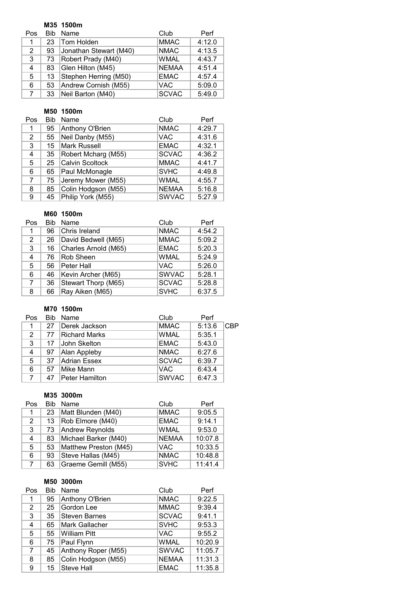### **M35 1500m**

| Pos         | Bib | Name                   | Club         | Perf   |
|-------------|-----|------------------------|--------------|--------|
| 1           | 23  | Tom Holden             | <b>MMAC</b>  | 4:12.0 |
| 2           | 93  | Jonathan Stewart (M40) | <b>NMAC</b>  | 4:13.5 |
| 3           | 73  | Robert Prady (M40)     | <b>WMAL</b>  | 4:43.7 |
| 4           | 83  | Glen Hilton (M45)      | <b>NEMAA</b> | 4:51.4 |
| 5           | 13  | Stephen Herring (M50)  | <b>EMAC</b>  | 4:57.4 |
| 6           | 53  | Andrew Cornish (M55)   | <b>VAC</b>   | 5:09.0 |
| $7^{\circ}$ | 33  | Neil Barton (M40)      | <b>SCVAC</b> | 5:49.0 |

### **M50 1500m**

| Pos            | Bib | Name                   | Club         | Perf   |
|----------------|-----|------------------------|--------------|--------|
| 1              | 95  | Anthony O'Brien        | <b>NMAC</b>  | 4:29.7 |
| $\overline{2}$ | 55  | Neil Danby (M55)       | <b>VAC</b>   | 4:31.6 |
| 3              | 15  | <b>Mark Russell</b>    | <b>EMAC</b>  | 4:32.1 |
| 4              | 35  | Robert Mcharg (M55)    | <b>SCVAC</b> | 4:36.2 |
| 5              | 25  | <b>Calvin Scoltock</b> | <b>MMAC</b>  | 4:41.7 |
| 6              | 65  | Paul McMonagle         | <b>SVHC</b>  | 4:49.8 |
| 7              | 75  | Jeremy Mower (M55)     | <b>WMAL</b>  | 4:55.7 |
| 8              | 85  | Colin Hodgson (M55)    | <b>NEMAA</b> | 5:16.8 |
| 9              | 45  | Philip York (M55)      | <b>SWVAC</b> | 5:27.9 |

### **M60 1500m**

| Pos            | <b>Bib</b> | Name                 | Club         | Perf   |
|----------------|------------|----------------------|--------------|--------|
| 1              | 96         | Chris Ireland        | <b>NMAC</b>  | 4:54.2 |
| $\overline{2}$ | 26         | David Bedwell (M65)  | <b>MMAC</b>  | 5:09.2 |
| 3              | 16         | Charles Arnold (M65) | <b>EMAC</b>  | 5:20.3 |
| 4              | 76         | Rob Sheen            | <b>WMAL</b>  | 5:24.9 |
| 5              | 56         | Peter Hall           | <b>VAC</b>   | 5:26.0 |
| 6              | 46         | Kevin Archer (M65)   | <b>SWVAC</b> | 5:28.1 |
| 7              | 36         | Stewart Thorp (M65)  | <b>SCVAC</b> | 5:28.8 |
| 8              | 66         | Ray Aiken (M65)      | <b>SVHC</b>  | 6:37.5 |

### **M70 1500m**

| Pos | <b>Bib</b> | Name                  | Club         | Perf   |            |
|-----|------------|-----------------------|--------------|--------|------------|
| 1   | 27         | Derek Jackson         | <b>MMAC</b>  | 5:13.6 | <b>CBP</b> |
| 2   | 77         | <b>Richard Marks</b>  | <b>WMAL</b>  | 5:35.1 |            |
| 3   | 17         | John Skelton          | <b>EMAC</b>  | 5:43.0 |            |
| 4   | 97         | Alan Appleby          | <b>NMAC</b>  | 6:27.6 |            |
| 5   | 37         | Adrian Essex          | <b>SCVAC</b> | 6:39.7 |            |
| 6   | 57         | Mike Mann             | <b>VAC</b>   | 6:43.4 |            |
|     | 47         | <b>Peter Hamilton</b> | <b>SWVAC</b> | 6:47.3 |            |

#### **M35 3000m**

| Pos                  | Bib | Name                  | Club         | Perf    |
|----------------------|-----|-----------------------|--------------|---------|
| 1.                   | 23  | Matt Blunden (M40)    | <b>MMAC</b>  | 9:05.5  |
| $\mathbf{2}^{\circ}$ | 13  | Rob Elmore (M40)      | <b>EMAC</b>  | 9:14.1  |
| 3                    | 73  | Andrew Reynolds       | <b>WMAL</b>  | 9:53.0  |
| 4                    | 83  | Michael Barker (M40)  | <b>NEMAA</b> | 10:07.8 |
| 5                    | 53  | Matthew Preston (M45) | <b>VAC</b>   | 10:33.5 |
| 6                    | 93  | Steve Hallas (M45)    | <b>NMAC</b>  | 10:48.8 |
| $\overline{7}$       | 63  | Graeme Gemill (M55)   | <b>SVHC</b>  | 11:41.4 |

#### **M50 3000m**

| Pos            | <b>Bib</b> | Name                 | Club         | Perf    |
|----------------|------------|----------------------|--------------|---------|
| 1              | 95         | Anthony O'Brien      | <b>NMAC</b>  | 9:22.5  |
| $\overline{2}$ | 25         | Gordon Lee           | <b>MMAC</b>  | 9:39.4  |
| 3              | 35         | <b>Steven Barnes</b> | <b>SCVAC</b> | 9:41.1  |
| 4              | 65         | Mark Gallacher       | <b>SVHC</b>  | 9:53.3  |
| 5              | 55         | <b>William Pitt</b>  | VAC.         | 9:55.2  |
| 6              | 75         | Paul Flynn           | <b>WMAL</b>  | 10:20.9 |
| $\overline{7}$ | 45         | Anthony Roper (M55)  | <b>SWVAC</b> | 11:05.7 |
| 8              | 85         | Colin Hodgson (M55)  | <b>NEMAA</b> | 11:31.3 |
| 9              | 15         | <b>Steve Hall</b>    | <b>EMAC</b>  | 11:35.8 |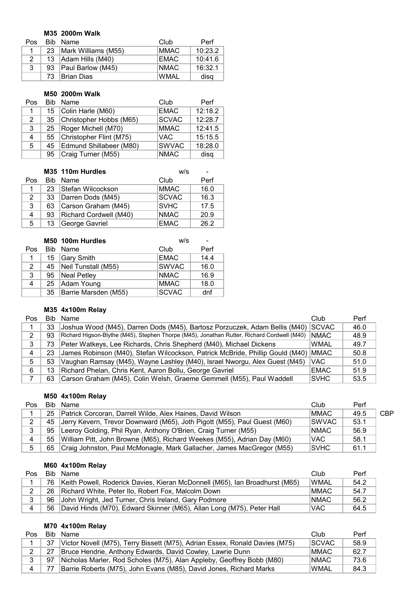### **M35 2000m Walk**

| Pos |    | Bib Name                 | Club        | Perf    |
|-----|----|--------------------------|-------------|---------|
|     | 23 | Mark Williams (M55)      | <b>MMAC</b> | 10:23.2 |
| 2   |    | 13 Adam Hills (M40)      | <b>EMAC</b> | 10:41.6 |
| 3   | 93 | <b>Paul Barlow (M45)</b> | <b>NMAC</b> | 16:32.1 |
|     | 73 | <b>Brian Dias</b>        | <b>WMAL</b> | disq    |

#### **M50 2000m Walk**

| Pos | <b>Bib</b> | Name                       | Club         | Perf    |
|-----|------------|----------------------------|--------------|---------|
| 1.  | 15         | Colin Harle (M60)          | <b>EMAC</b>  | 12:18.2 |
| 2   |            | 35 Christopher Hobbs (M65) | <b>SCVAC</b> | 12:28.7 |
| 3   | 25         | Roger Michell (M70)        | <b>MMAC</b>  | 12:41.5 |
| 4   |            | 55 Christopher Flint (M75) | <b>VAC</b>   | 15:15.5 |
| 5   | 45         | Edmund Shillabeer (M80)    | <b>SWVAC</b> | 18:28.0 |
|     | 95         | Craig Turner (M55)         | <b>NMAC</b>  | disq    |

|     |      | M35 110m Hurdles       | w/s          |      |
|-----|------|------------------------|--------------|------|
| Pos | Bib. | Name                   | Club         | Perf |
|     | 23   | Stefan Wilcockson      | <b>MMAC</b>  | 16.0 |
| 2   | 33   | Darren Dods (M45)      | <b>SCVAC</b> | 16.3 |
| 3   | 63   | Carson Graham (M45)    | <b>SVHC</b>  | 17.5 |
| 4   | 93   | Richard Cordwell (M40) | <b>NMAC</b>  | 20.9 |
| 5   | 13   | George Gavriel         | <b>EMAC</b>  | 26.2 |

|     | M50 100m Hurdles |                      | W/S<br>۰     |      |  |
|-----|------------------|----------------------|--------------|------|--|
| Pos |                  | Bib Name             | Club         | Perf |  |
| 1   | 15               | Gary Smith           | <b>EMAC</b>  | 14.4 |  |
| 2   | 45               | Neil Tunstall (M55)  | <b>SWVAC</b> | 16.0 |  |
| 3   | 95               | Neal Petley          | <b>NMAC</b>  | 16.9 |  |
| 4   | 25               | Adam Young           | <b>MMAC</b>  | 18.0 |  |
|     | 35               | Barrie Marsden (M55) | <b>SCVAC</b> | dnf  |  |

# **M35 4x100m Relay**

| Pos | Bib. | Name                                                                                       | Club         | Perf |
|-----|------|--------------------------------------------------------------------------------------------|--------------|------|
|     | 33   | Joshua Wood (M45), Darren Dods (M45), Bartosz Porzuczek, Adam Bellis (M40)                 | <b>SCVAC</b> | 46.0 |
|     | 93   | Richard Higson-Blythe (M45), Stephen Thorpe (M45), Jonathan Rutter, Richard Cordwell (M40) | <b>NMAC</b>  | 48.9 |
| 3   | 73   | Peter Watkeys, Lee Richards, Chris Shepherd (M40), Michael Dickens                         | <b>WMAL</b>  | 49.7 |
|     | 23   | James Robinson (M40), Stefan Wilcockson, Patrick McBride, Phillip Gould (M40)              | <b>IMMAC</b> | 50.8 |
| 5   | 53   | Vaughan Ramsay (M45), Wayne Lashley (M40), Israel Nworgu, Alex Guest (M45)                 | <b>VAC</b>   | 51.0 |
| 6   | 13   | Richard Phelan, Chris Kent, Aaron Bollu, George Gavriel                                    | <b>EMAC</b>  | 51.9 |
|     | 63   | Carson Graham (M45), Colin Welsh, Graeme Gemmell (M55), Paul Waddell                       | <b>ISVHC</b> | 53.5 |

### **M50 4x100m Relay**

| Pos            |    | Bib Name                                                                    | Club         | Perf |            |
|----------------|----|-----------------------------------------------------------------------------|--------------|------|------------|
|                | 25 | Patrick Corcoran, Darrell Wilde, Alex Haines, David Wilson                  | <b>MMAC</b>  | 49.5 | <b>CBP</b> |
| $\mathcal{D}$  |    | 45 Jerry Kevern, Trevor Downward (M65), Joth Pigott (M55), Paul Guest (M60) | <b>SWVAC</b> | 53.1 |            |
|                |    | 95   Leeroy Golding, Phil Ryan, Anthony O'Brien, Craig Turner (M55)         | <b>NMAC</b>  | 56.9 |            |
| $\overline{4}$ |    | 55 William Pitt, John Browne (M65), Richard Weekes (M55), Adrian Day (M60)  | 'VAC         | 58.1 |            |
|                |    | 65 Craig Johnston, Paul McMonagle, Mark Gallacher, James MacGregor (M55)    | <b>SVHC</b>  | 61.1 |            |

### **M60 4x100m Relay**

| Pos | Bib | Name                                                                        | Club         | Perf |
|-----|-----|-----------------------------------------------------------------------------|--------------|------|
|     | 76. | Keith Powell, Roderick Davies, Kieran McDonnell (M65), Ian Broadhurst (M65) | <b>WMAL</b>  | 54.2 |
|     | 26. | Richard White, Peter Ilo, Robert Fox, Malcolm Down                          | <b>IMMAC</b> | 54.7 |
|     | 96  | John Wright, Jed Turner, Chris Ireland, Gary Podmore                        | <b>NMAC</b>  | 56.2 |
|     | -56 | David Hinds (M70), Edward Skinner (M65), Allan Long (M75), Peter Hall       | VAC.         | 64.5 |

### **M70 4x100m Relay**

| Pos | Bib | Name                                                                        | Club         | Perf |
|-----|-----|-----------------------------------------------------------------------------|--------------|------|
|     | 37  | Victor Novell (M75), Terry Bissett (M75), Adrian Essex, Ronald Davies (M75) | <b>SCVAC</b> | 58.9 |
| 2   | 27  | Bruce Hendrie, Anthony Edwards, David Cowley, Lawrie Dunn                   | <b>MMAC</b>  | 62.7 |
| 3   | 97  | Nicholas Marler, Rod Scholes (M75), Alan Appleby, Geoffrey Bobb (M80)       | <b>NMAC</b>  | 73.6 |
| 4   |     | Barrie Roberts (M75), John Evans (M85), David Jones, Richard Marks          | <b>WMAL</b>  | 84.3 |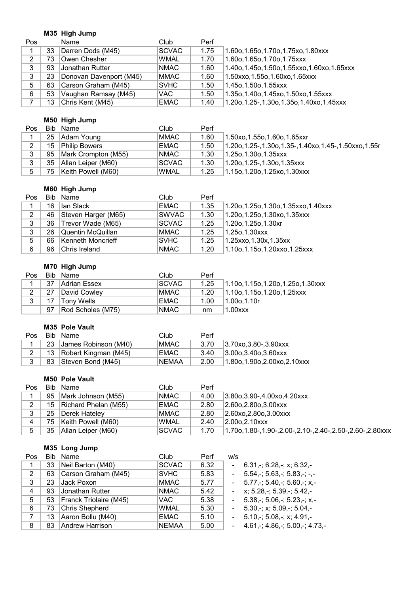# **M35 High Jump**

| <b>Pos</b> |    | Name                    | Club         | Perf |                                             |
|------------|----|-------------------------|--------------|------|---------------------------------------------|
|            | 33 | Darren Dods (M45)       | <b>SCVAC</b> | 1.75 | 1.60o, 1.65o, 1.70o, 1.75xo, 1.80xxx        |
| 2          | 73 | Owen Chesher            | <b>WMAL</b>  | 1.70 | 1.60o, 1.65o, 1.70o, 1.75xxx                |
| 3          | 93 | Jonathan Rutter_        | <b>NMAC</b>  | 1.60 | 1.40o,1.45o,1.50o,1.55xxo,1.60xo,1.65xxx    |
| 3          | 23 | Donovan Davenport (M45) | <b>MMAC</b>  | 1.60 | 1.50xxo, 1.55o, 1.60xo, 1.65xxx             |
| 5          | 63 | Carson Graham (M45)     | <b>SVHC</b>  | 1.50 | 1.45o,1.50o,1.55xxx                         |
| 6          | 53 | Vaughan Ramsay (M45)    | VAC.         | 1.50 | 1.35o, 1.40o, 1.45xo, 1.50xo, 1.55xxx       |
|            | 13 | Chris Kent (M45)        | <b>EMAC</b>  | 1.40 | 1.20o, 1.25-, 1.30o, 1.35o, 1.40xo, 1.45xxx |

### **M50 High Jump**

| Pos           |     | Bib Name             | Club         | Perf |                                                           |
|---------------|-----|----------------------|--------------|------|-----------------------------------------------------------|
|               | 25  | Adam Young           | <b>MMAC</b>  | 1.60 | 1.50xo,1.55o,1.60o,1.65xxr                                |
| $\mathcal{P}$ | 15  | <b>Philip Bowers</b> | <b>EMAC</b>  | 1.50 | 1.20o, 1.25-, 1.30o, 1.35-, 1.40xo, 1.45-, 1.50xxo, 1.55r |
| 3             | 95  | Mark Crompton (M55)  | <b>NMAC</b>  | 1.30 | 1.25o,1.30o,1.35xxx                                       |
| 3             | 35  | Allan Leiper (M60)   | <b>SCVAC</b> | 1.30 | 1.20o,1.25-,1.30o,1.35xxx                                 |
| 5             | 75. | Keith Powell (M60)   | <b>WMAL</b>  | 1.25 | 1.15o,1.20o,1.25xo,1.30xxx                                |

### **M60 High Jump**

| <b>Pos</b> |    | Bib Name               | Club              | Perf |                                       |
|------------|----|------------------------|-------------------|------|---------------------------------------|
|            | 16 | llan Slack             | <b>EMAC</b>       | 1.35 | 1.20o, 1.25o, 1.30o, 1.35xxo, 1.40xxx |
| 2          | 46 | Steven Harger (M65)    | SWVAC             | 1.30 | $1.20$ o, 1.25o, 1.30xo, 1.35xxx      |
| 3          |    | 36   Trevor Wade (M65) | <b>SCVAC</b>      | 1.25 | $1.20$ o, 1.25o, 1.30xr               |
| 3          | 26 | Quentin McQuillan      | MMAC <sup>1</sup> | 1.25 | $1.250, 1.30$ xxx                     |
| 5          | 66 | Kenneth Moncrieff      | <b>SVHC</b>       | 1.25 | $1.25$ xxo, 1.30x, 1.35xx             |
| 6          | 96 | Chris Ireland          | <b>NMAC</b>       | 1.20 | 1.10o, 1.15o, 1.20xxo, 1.25xxx        |

# **M70 High Jump**

| Pos |    | Bib Name            | Club          | Perf |                                        |
|-----|----|---------------------|---------------|------|----------------------------------------|
|     | 37 | <b>Adrian Essex</b> | <b>ISCVAC</b> | 1.25 | $1.10$ o, 1.15o, 1.20o, 1.25o, 1.30xxx |
| 2   | 27 | David Cowley        | MMAC .        | 1.20 | $1.10$ o, 1.15o, 1.20o, 1.25xxx        |
| 3   |    | Tonv Wells          | EMAC          | 1.00 | $11.00$ o. $1.10r$                     |
|     | 97 | Rod Scholes (M75)   | <b>NMAC</b>   | nm   | $1.00$ $xx$                            |

#### **M35 Pole Vault**

| Pos | Bib Name                  | Club          | Perf |                            |
|-----|---------------------------|---------------|------|----------------------------|
|     | 23 James Robinson (M40)   | MMAC <b>M</b> | 3.70 | $ 3.70x0, 3.80-, 3.90xxx $ |
|     | 13   Robert Kingman (M45) | EMAC          | 3.40 | $ 3.00$ o.3.40o.3.60xxx    |
|     | 83   Steven Bond (M45)    | <b>INEMAA</b> | 2.00 | 1.80o.1.90o.2.00xo.2.10xxx |

#### **M50 Pole Vault**

| Pos    |     | Bib Name             | Club         | Perf |                                                               |
|--------|-----|----------------------|--------------|------|---------------------------------------------------------------|
|        | 95  | Mark Johnson (M55)   | <b>NMAC</b>  | 4.00 | $ 3.80$ o, $3.90$ -, $4.00$ xo, $4.20$ xxx                    |
| ◠      | 15  | Richard Phelan (M55) | <b>EMAC</b>  | 2.80 | $ 2.60$ o. $2.80$ o. $3.00$ xxx                               |
| 2<br>J | 25  | Derek Hatelev        | <b>MMAC</b>  | 2.80 | 2.60x0.2.800.3.00xxx                                          |
| 4      | 75. | Keith Powell (M60)   | <b>WMAL</b>  | 2.40 | $ 2.00$ o. $2.10$ xxx                                         |
| 5      | 35  | Allan Leiper (M60)   | <b>SCVAC</b> | 1.70 | 2.50-,2.60-,2.80-,1.90-,2.00-,2.10-,2.40-,2.50-,2.60-,2.80xxx |

# **M35 Long Jump**

| Pos |    | Bib Name                    | Club         | Perf | w/s                      |                                                  |
|-----|----|-----------------------------|--------------|------|--------------------------|--------------------------------------------------|
|     | 33 | Neil Barton (M40)           | <b>SCVAC</b> | 6.32 | L,                       | $6.31 - 6.28 - x$ ; 6.32,-                       |
| 2   | 63 | Carson Graham (M45)         | <b>SVHC</b>  | 5.83 | $\blacksquare$           | $5.54$ , $-$ ; 5.63, $-$ ; 5.83, $-$ ; $-$ , $-$ |
| 3   | 23 | Jack Poxon                  | <b>MMAC</b>  | 5.77 | $\blacksquare$           | $5.77$ ,-; $5.40$ ,-; $5.60$ ,-; $x$ ,-          |
| 4   | 93 | Jonathan Rutter             | <b>NMAC</b>  | 5.42 | $\blacksquare$           | $x: 5.28, -; 5.39, -; 5.42, -$                   |
| 5   |    | 53   Franck Triolaire (M45) | VAC.         | 5.38 | $\overline{\phantom{0}}$ | $5.38 - 5.06 - 5.23 - x$                         |
| 6   | 73 | Chris Shepherd              | <b>WMAL</b>  | 5.30 | $\blacksquare$           | $5.30, \frac{1}{2}$ ; x; 5.09, -; 5.04, -        |
| 7   | 13 | Aaron Bollu (M40)           | <b>EMAC</b>  | 5.10 | $\blacksquare$           | $5.10,-; 5.08,-; x; 4.91,-$                      |
| 8   | 83 | <b>Andrew Harrison</b>      | <b>NEMAA</b> | 5.00 | ä,                       | $4.61 - 4.86 - 5.00 - 4.73$                      |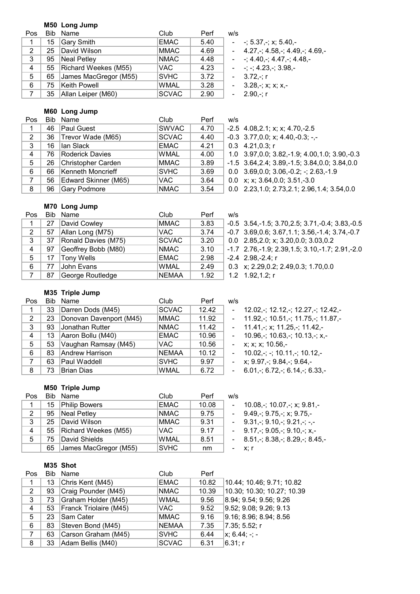#### **M50 Long Jump**

| Pos         |    | Bib Name                  | Club         | Perf | W/S                  |
|-------------|----|---------------------------|--------------|------|----------------------|
| $\mathbf 1$ |    | 15 Gary Smith             | <b>EMAC</b>  | 5.40 | $ -$ ; 5.37,-        |
| 2           |    | 25 David Wilson           | <b>MMAC</b>  | 4.69 | $-4.27, \div 4$      |
| 3           | 95 | Neal Petley               | <b>NMAC</b>  | 4.48 | $ -$ : 4.40.         |
| 4           |    | 55   Richard Weekes (M55) | VAC.         | 4.23 | $ -$ ; $-$ ; 4.23    |
| 5           |    | 65 James MacGregor (M55)  | <b>SVHC</b>  | 3.72 | $-3.72, \div$ ; r    |
| 6           |    | 75 Keith Powell           | <b>WMAL</b>  | 3.28 | $-3.28, \frac{1}{2}$ |
|             |    | 35   Allan Leiper (M60)   | <b>SCVAC</b> | 2.90 | $-2.90, \div; r$     |

 $-; 5.37, -; x; 5.40, -$ 

- $4.27 4.58 4.49 4.69$
- $-; 4.40, -; 4.47, -; 4.48, -$
- $-; -; 4.23 -; 3.98, -$
- 
- 3.28,-; x; x; x,-
	- $2.90 r$

#### **M60 Long Jump**

| Pos |    | Bib Name             | Club         | Perf | w/s                                                   |
|-----|----|----------------------|--------------|------|-------------------------------------------------------|
|     | 46 | Paul Guest           | <b>SWVAC</b> | 4.70 | $-2.5$ 4.08,2.1; x; x; 4.70, -2.5                     |
| 2   | 36 | Trevor Wade (M65)    | <b>SCVAC</b> | 4.40 | $-0.3$ 3.77,0.0; x; 4.40, -0.3; -,-                   |
| 3   | 16 | Ian Slack            | <b>EMAC</b>  | 4.21 | $0.3$ 4.21,0.3; r                                     |
| 4   | 76 | Roderick Davies      | <b>WMAL</b>  | 4.00 | 1.0 3.97, 0.0; 3.82, -1.9; 4.00, 1.0; 3.90, -0.3      |
| 5   | 26 | Christopher Carden   | <b>MMAC</b>  | 3.89 | $-1.5$ 3.64, 2.4; 3.89, $-1.5$ ; 3.84, 0.0; 3.84, 0.0 |
| 6   | 66 | Kenneth Moncrieff    | <b>SVHC</b>  | 3.69 | $0.0$ 3.69, 0.0; 3.06, -0.2; -; 2.63, -1.9            |
| 7   | 56 | Edward Skinner (M65) | VAC.         | 3.64 | 0.0 x; x; 3.64, 0.0; 3.51, -3.0                       |
| 8   | 96 | Gary Podmore         | <b>NMAC</b>  | 3.54 | $0.0$ 2.23, 1.0; 2.73, 2.1; 2.96, 1.4; 3.54, 0.0      |

### **M70 Long Jump**

| Pos          | Bib. | Name                | Club         | Perf | W/S    |
|--------------|------|---------------------|--------------|------|--------|
| 1            | 27   | David Cowley        | <b>MMAC</b>  | 3.83 | $-0.5$ |
| 2            | 57   | Allan Long (M75)    | <b>VAC</b>   | 3.74 | $-0.7$ |
| 3            | 37   | Ronald Davies (M75) | <b>SCVAC</b> | 3.20 | 0.0    |
| 4            | 97   | Geoffrey Bobb (M80) | <b>NMAC</b>  | 3.10 | $-1.7$ |
| 5            | 17   | <b>Tony Wells</b>   | <b>EMAC</b>  | 2.98 | $-2.4$ |
| 6            | 77   | John Evans          | <b>WMAL</b>  | 2.49 | 0.3    |
| $\mathbf{7}$ | 87   | George Routledge    | <b>NEMAA</b> | 1.92 | 1.2    |

1 27 David Cowley MMAC 3.83 -0.5 3.54,-1.5; 3.70,2.5; 3.71,-0.4; 3.83,-0.5 3.69,0.6; 3.67,1.1; 3.56,-1.4; 3.74,-0.7 2.85,2.0; x; 3.20,0.0; 3.03,0.2 8 9.76,-1.9; 2.39,1.5; 3.10,-1.7; 2.91,-2.0 2.98,-2.4; r x; 2.29,0.2; 2.49,0.3; 1.70,0.0  $1.92, 1.2; r$ 

### **M35 Triple Jump**

| Pos |    | Bib Name                | Club         | Perf  | w/s                 |                                                                        |
|-----|----|-------------------------|--------------|-------|---------------------|------------------------------------------------------------------------|
|     | 33 | Darren Dods (M45)       | <b>SCVAC</b> | 12.42 | $\omega_{\rm{max}}$ | 12.02,-; 12.12,-; 12.27,-; 12.42,-                                     |
| 2   | 23 | Donovan Davenport (M45) | <b>MMAC</b>  | 11.92 |                     | $-11.92, \frac{1}{2}$ 10.51, $\frac{1}{2}$ 11.75, $\frac{1}{2}$ 11.87, |
| 3   | 93 | Jonathan Rutter         | <b>NMAC</b>  | 11.42 |                     | $-11.41, \frac{1}{2}$ ; x; 11.25, -; 11.42, -                          |
| 4   | 13 | Aaron Bollu (M40)       | <b>EMAC</b>  | 10.96 | $\sim$              | $10.96, \frac{1}{2}$ ; 10.63, -; 10.13, -; x, -                        |
| 5   | 53 | Vaughan Ramsay (M45)    | VAC.         | 10.56 |                     | - $x$ ; $x$ ; $x$ ; 10.56,-                                            |
| 6   | 83 | Andrew Harrison         | <b>NEMAA</b> | 10.12 | $\sim 100$          | $10.02, -$ ; $-$ ; $10.11, -$ ; $10.12, -$                             |
| 7   | 63 | Paul Waddell            | <b>SVHC</b>  | 9.97  |                     | - $x$ ; 9.97,-; 9.84,-; 9.64,-                                         |
| 8   | 73 | Brian Dias              | <b>WMAL</b>  | 6.72  |                     | $-6.01 - 6.72 - 6.14 - 6.33$                                           |

#### **M50 Triple Jump**

| Pos |     | Bib Name                  | Club        | Perf  | w/s                                               |
|-----|-----|---------------------------|-------------|-------|---------------------------------------------------|
| 1   |     | 15 Philip Bowers          | EMAC        | 10.08 | 10.08, -; 10.07, -; x; 9.81, -                    |
| 2   |     | 95 Neal Petley            | NMAC        | 9.75  | $-9.49, \div 9.75, \div x$ ; 9.75,-               |
| 3   | 25. | David Wilson              | MMAC        | 9.31  | $-$ 9.31, -; 9.10, -; 9.21, -; -, -               |
| 4   |     | 55   Richard Weekes (M55) | VAC.        | 9.17  | $-$ 9.17, -; 9.05, -; 9.10, -; x, -               |
| 5   | 75. | David Shields             | <b>WMAL</b> | 8.51  | $-8.51$ , $-$ ; 8.38, $-$ ; 8.29, $-$ ; 8.45, $-$ |
|     | 65  | James MacGregor (M55)     | SVHC        | nm    | – x: r                                            |

#### **M35 Shot**

| Pos            |    | Bib Name               | Club         | Perf  |                               |
|----------------|----|------------------------|--------------|-------|-------------------------------|
| 1              | 13 | Chris Kent (M45)       | <b>EMAC</b>  | 10.82 | 10.44; 10.46; 9.71; 10.82     |
| 2              | 93 | Craig Pounder (M45)    | <b>NMAC</b>  | 10.39 | 10.30; 10.30; 10.27; 10.39    |
| 3              | 73 | Graham Holder (M45)    | <b>WMAL</b>  | 9.56  | 8.94; 9.54; 9.56; 9.26        |
| 4              | 53 | Franck Triolaire (M45) | VAC.         | 9.52  | 9.52; 9.08; 9.26; 9.13        |
| 5              | 23 | Sam Cater              | <b>MMAC</b>  | 9.16  | 9.16; 8.96; 8.94; 8.56        |
| 6              | 83 | Steven Bond (M45)      | <b>NEMAA</b> | 7.35  | 7.35; 5.52; r                 |
| $\overline{7}$ | 63 | Carson Graham (M45)    | <b>SVHC</b>  | 6.44  | $\vert x; 6.44; -; - \rangle$ |
| 8              | 33 | Adam Bellis (M40)      | <b>SCVAC</b> | 6.31  | 6.31; r                       |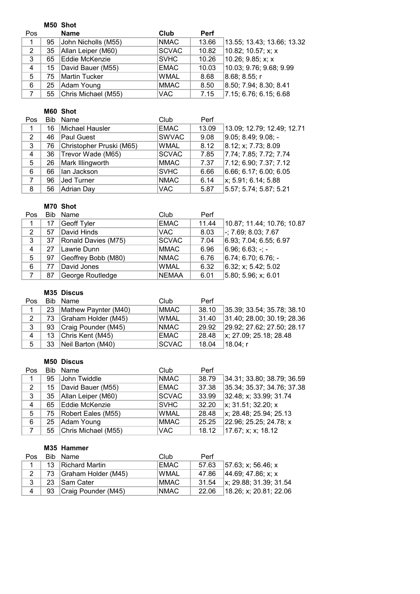|             |    | M50 Shot            |              |             |                            |
|-------------|----|---------------------|--------------|-------------|----------------------------|
| Pos         |    | <b>Name</b>         | Club         | <b>Perf</b> |                            |
| $\mathbf 1$ | 95 | John Nicholls (M55) | <b>NMAC</b>  | 13.66       | 13.55; 13.43; 13.66; 13.32 |
| 2           | 35 | Allan Leiper (M60)  | <b>SCVAC</b> | 10.82       | 10.82; 10.57; x; x         |
| 3           | 65 | Eddie McKenzie      | <b>SVHC</b>  | 10.26       | $10.26$ ; 9.85; x; x       |
| 4           | 15 | David Bauer (M55)   | <b>EMAC</b>  | 10.03       | 10.03; 9.76; 9.68; 9.99    |
| 5           | 75 | Martin Tucker       | <b>WMAL</b>  | 8.68        | 8.68; 8.55; r              |
| 6           | 25 | Adam Young          | <b>MMAC</b>  | 8.50        | 8.50; 7.94; 8.30; 8.41     |
| 7           | 55 | Chris Michael (M55) | <b>VAC</b>   | 7.15        | 7.15; 6.76; 6.15; 6.68     |

### **M60 Shot**

| Pos |    | Bib Name                 | Club         | Perf  |                            |
|-----|----|--------------------------|--------------|-------|----------------------------|
| 1   | 16 | Michael Hausler          | <b>EMAC</b>  | 13.09 | 13.09; 12.79; 12.49; 12.71 |
| 2   | 46 | <b>Paul Guest</b>        | <b>SWVAC</b> | 9.08  | $ 9.05; 8.49; 9.08; -$     |
| 3   | 76 | Christopher Pruski (M65) | <b>WMAL</b>  | 8.12  | 8.12; x; 7.73; 8.09        |
| 4   | 36 | Trevor Wade (M65)        | <b>SCVAC</b> | 7.85  | 7.74; 7.85; 7.72; 7.74     |
| 5   | 26 | Mark Illingworth         | <b>MMAC</b>  | 7.37  | 7.12; 6.90; 7.37; 7.12     |
| 6   | 66 | lan Jackson              | <b>SVHC</b>  | 6.66  | 6.66; 6.17; 6.00; 6.05     |
| 7   | 96 | <b>Jed Turner</b>        | <b>NMAC</b>  | 6.14  | x; 5.91; 6.14; 5.88        |
| 8   | 56 | Adrian Day               | <b>VAC</b>   | 5.87  | 5.57; 5.74; 5.87; 5.21     |

## **M70 Shot**

| Pos |    | Bib Name            | Club         | Perf  |                             |
|-----|----|---------------------|--------------|-------|-----------------------------|
| 1   | 17 | Geoff Tyler         | <b>EMAC</b>  | 11.44 | 10.87; 11.44; 10.76; 10.87  |
| 2   | 57 | David Hinds         | <b>VAC</b>   | 8.03  | $\vert$ -; 7.69; 8.03; 7.67 |
| 3   | 37 | Ronald Davies (M75) | <b>SCVAC</b> | 7.04  | 6.93; 7.04; 6.55; 6.97      |
| 4   | 27 | Lawrie Dunn         | MMAC         | 6.96  | $ 6.96; 6.63; -; -$         |
| 5   | 97 | Geoffrey Bobb (M80) | <b>NMAC</b>  | 6.76  | $6.74; 6.70; 6.76; -$       |
| 6   | 77 | David Jones         | <b>WMAL</b>  | 6.32  | 6.32; x; 5.42; 5.02         |
|     | 87 | George Routledge    | <b>NEMAA</b> | 6.01  | 5.80; 5.96; x; 6.01         |

# **M35 Discus**

| Pos         |     | Bib Name             | Club         | Perf  |                                |
|-------------|-----|----------------------|--------------|-------|--------------------------------|
| $\mathbf 1$ | 23  | Mathew Paynter (M40) | <b>MMAC</b>  | 38.10 | 35.39; 33.54; 35.78; 38.10     |
| 2           | 73. | Graham Holder (M45)  | <b>WMAL</b>  | 31.40 | 31.40; 28.00; 30.19; 28.36     |
| $\cdot$ 3   | 93  | Craig Pounder (M45)  | <b>NMAC</b>  | 29.92 | 29.92; 27.62; 27.50; 28.17     |
| 4           | 13  | Chris Kent (M45)     | EMAC         | 28.48 | $\vert x; 27.09; 25.18; 28.48$ |
| 5           | 33  | Neil Barton (M40)    | <b>SCVAC</b> | 18.04 | ∣18.04: r                      |

# **M50 Discus**

| Pos |    | Bib Name                | Club         | Perf  |                            |
|-----|----|-------------------------|--------------|-------|----------------------------|
|     | 95 | John Twiddle            | <b>NMAC</b>  | 38.79 | 34.31; 33.80; 38.79; 36.59 |
| 2   | 15 | David Bauer (M55)       | <b>EMAC</b>  | 37.38 | 35.34; 35.37; 34.76; 37.38 |
| 3   |    | 35   Allan Leiper (M60) | <b>SCVAC</b> | 33.99 | 32.48; x; 33.99; 31.74     |
| 4   | 65 | Eddie McKenzie          | <b>SVHC</b>  | 32.20 | x: 31.51: 32.20: x         |
| 5   | 75 | Robert Eales (M55)      | <b>WMAL</b>  | 28.48 | x; 28.48; 25.94; 25.13     |
| 6   | 25 | Adam Young              | <b>MMAC</b>  | 25.25 | 22.96; 25.25; 24.78; x     |
|     | 55 | Chris Michael (M55)     | VAC.         | 18.12 | 17.67; x; x; 18.12         |

### **M35 Hammer**

| Pos. | - Bib - Name             | Club        | Perf  |                                      |
|------|--------------------------|-------------|-------|--------------------------------------|
|      | 13 Richard Martin        | EMAC        | 57.63 | $157.63$ : x: 56.46: x               |
|      | 73 Graham Holder (M45)   | <b>WMAL</b> | 47.86 | 44.69; 47.86; x; x                   |
|      | 23 Sam Cater             | MMAC.       | 31.54 | $\vert x; 29.88; 31.39; 31.54 \vert$ |
| 4    | 93   Craig Pounder (M45) | INMAC.      | 22.06 | $18.26$ ; x; 20.81; 22.06            |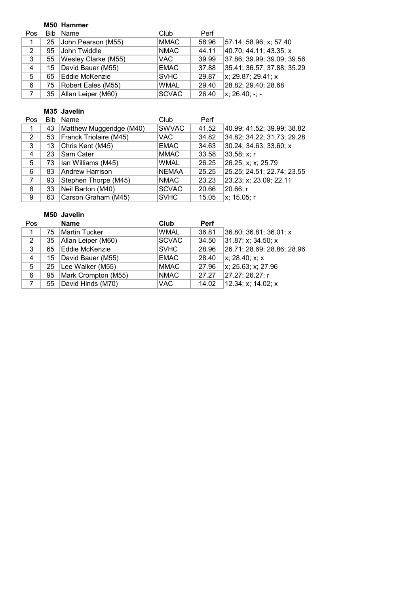### **M50 Hammer**

| Pos | Bib | Name                | Club         | Perf  |                                  |
|-----|-----|---------------------|--------------|-------|----------------------------------|
| 1   | 25  | John Pearson (M55)  | MMAC         | 58.96 | 57.14; 58.96; x; 57.40           |
| 2   | 95  | John Twiddle        | <b>NMAC</b>  | 44.11 | 40.70; 44.11; 43.35; x           |
| 3   | 55  | Wesley Clarke (M55) | <b>VAC</b>   | 39.99 | 37.86; 39.99; 39.09; 39.56       |
| 4   | 15  | David Bauer (M55)   | <b>EMAC</b>  | 37.88 | 35.41; 36.57; 37.88; 35.29       |
| 5   | 65  | Eddie McKenzie      | <b>SVHC</b>  | 29.87 | $\vert x; 29.87; 29.41; x \vert$ |
| 6   | 75  | Robert Eales (M55)  | <b>WMAL</b>  | 29.40 | 28.82; 29.40; 28.68              |
|     | 35  | Allan Leiper (M60)  | <b>SCVAC</b> | 26.40 | $\vert x; 26.40; -; -$           |

### **M35 Javelin**

| <b>Pos</b> | Bib | Name                     | Club         | Perf  |                            |
|------------|-----|--------------------------|--------------|-------|----------------------------|
| 1          | 43  | Matthew Muggeridge (M40) | <b>SWVAC</b> | 41.52 | 40.99; 41.52; 39.99; 38.82 |
| 2          | 53  | Franck Triolaire (M45)   | VAC.         | 34.82 | 34.82; 34.22; 31.73; 29.28 |
| 3          | 13  | Chris Kent (M45)         | <b>EMAC</b>  | 34.63 | $30.24$ ; 34.63; 33.60; x  |
| 4          | 23  | Sam Cater                | <b>MMAC</b>  | 33.58 | 33.58; x; r                |
| 5          | 73  | Ian Williams (M45)       | <b>WMAL</b>  | 26.25 | 26.25; x; x; 25.79         |
| 6          | 83  | Andrew Harrison          | <b>NEMAA</b> | 25.25 | 25.25; 24.51; 22.74; 23.55 |
| 7          | 93  | Stephen Thorpe (M45)     | <b>NMAC</b>  | 23.23 | 23.23; x; 23.09; 22.11     |
| 8          | 33  | Neil Barton (M40)        | <b>SCVAC</b> | 20.66 | 20.66; r                   |
| 9          | 63  | Carson Graham (M45)      | <b>SVHC</b>  | 15.05 | x; 15.05; r                |

### **M50 Javelin**

| Pos            |    | <b>Name</b>         | Club         | <b>Perf</b> |                            |
|----------------|----|---------------------|--------------|-------------|----------------------------|
| 1              | 75 | Martin Tucker       | <b>WMAL</b>  | 36.81       | 36.80; 36.81; 36.01; x     |
| 2              | 35 | Allan Leiper (M60)  | <b>SCVAC</b> | 34.50       | 31.87; x; 34.50; x         |
| 3              | 65 | Eddie McKenzie      | <b>SVHC</b>  | 28.96       | 26.71; 28.69; 28.86; 28.96 |
| $\overline{4}$ | 15 | David Bauer (M55)   | <b>EMAC</b>  | 28.40       | x: 28.40; x: x             |
| 5              | 25 | Lee Walker (M55)    | <b>MMAC</b>  | 27.96       | x; 25.63; x; 27.96         |
| 6              | 95 | Mark Crompton (M55) | <b>NMAC</b>  | 27.27       | 27.27; 26.27; r            |
|                | 55 | David Hinds (M70)   | <b>VAC</b>   | 14.02       | 12.34; x; 14.02; x         |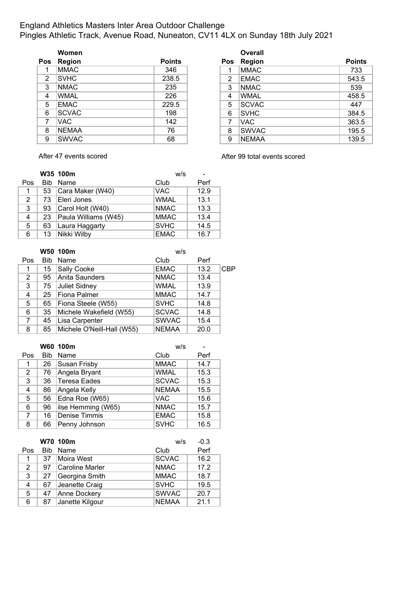### England Athletics Masters Inter Area Outdoor Challenge Pingles Athletic Track, Avenue Road, Nuneaton, CV11 4LX on Sunday 18th July 2021

|                | Women         |               |     | <b>Overall</b> |               |
|----------------|---------------|---------------|-----|----------------|---------------|
| <b>Pos</b>     | <b>Region</b> | <b>Points</b> | Pos | Region         | <b>Points</b> |
| 1              | MMAC          | 346           |     | <b>MMAC</b>    | 733           |
| $\overline{2}$ | <b>SVHC</b>   | 238.5         | 2   | <b>EMAC</b>    | 543.5         |
| 3              | <b>NMAC</b>   | 235           | 3   | <b>NMAC</b>    | 539           |
| 4              | <b>WMAL</b>   | 226           | 4   | <b>WMAL</b>    | 458.5         |
| 5              | <b>EMAC</b>   | 229.5         | 5   | <b>SCVAC</b>   | 447           |
| 6              | <b>SCVAC</b>  | 198           | 6   | <b>SVHC</b>    | 384.5         |
| $\overline{7}$ | VAC.          | 142           | 7   | <b>VAC</b>     | 363.5         |
| 8              | <b>NEMAA</b>  | 76            | 8   | <b>SWVAC</b>   | 195.5         |
| 9              | <b>SWVAC</b>  | 68            | 9   | NEMAA          | 139.5         |

|    | Women         |               |                | <b>Overall</b> |               |
|----|---------------|---------------|----------------|----------------|---------------|
| )S | <b>Region</b> | <b>Points</b> | <b>Pos</b>     | <b>Region</b>  | <b>Points</b> |
| 1  | MMAC          | 346           |                | <b>MMAC</b>    | 733           |
| 2  | <b>SVHC</b>   | 238.5         | $\overline{2}$ | <b>EMAC</b>    | 543.5         |
| 3  | <b>NMAC</b>   | 235           | 3              | <b>NMAC</b>    | 539           |
| 4  | <b>WMAL</b>   | 226           | 4              | <b>WMAL</b>    | 458.5         |
| 5  | <b>EMAC</b>   | 229.5         | 5              | <b>SCVAC</b>   | 447           |
| 6  | <b>SCVAC</b>  | 198           | 6              | <b>SVHC</b>    | 384.5         |
| 7  | VAC.          | 142           | 7              | <b>VAC</b>     | 363.5         |
| 8  | <b>NEMAA</b>  | 76            | 8              | <b>SWVAC</b>   | 195.5         |
| 9  | <b>SWVAC</b>  | 68            | 9              | <b>NEMAA</b>   | 139.5         |

After 47 events scored **After 99 total events scored** 

|     |            | W35 100m             | W/S         |      |
|-----|------------|----------------------|-------------|------|
| Pos | <b>Bib</b> | Name                 | Club        | Perf |
| 1   | 53         | Cara Maker (W40)     | <b>VAC</b>  | 12.9 |
| 2   | 73         | Eleri Jones          | <b>WMAL</b> | 13.1 |
| 3   | 93         | Carol Holt (W40)     | <b>NMAC</b> | 13.3 |
| 4   | 23         | Paula Williams (W45) | <b>MMAC</b> | 13.4 |
| 5   | 63         | Laura Haggarty       | <b>SVHC</b> | 14.5 |
| 6   | 13         | Nikki Wilby          | <b>EMAC</b> | 16.7 |

|     |            | W50 100m                   | W/S          |      |            |
|-----|------------|----------------------------|--------------|------|------------|
| Pos | <b>Bib</b> | Name                       | Club         | Perf |            |
| 1   | 15         | <b>Sally Cooke</b>         | <b>EMAC</b>  | 13.2 | <b>CBP</b> |
| 2   | 95         | Anita Saunders             | <b>NMAC</b>  | 13.4 |            |
| 3   | 75         | Juliet Sidney              | <b>WMAL</b>  | 13.9 |            |
| 4   | 25         | Fiona Palmer               | <b>MMAC</b>  | 14.7 |            |
| 5   | 65         | Fiona Steele (W55)         | <b>SVHC</b>  | 14.8 |            |
| 6   | 35         | Michele Wakefield (W55)    | <b>SCVAC</b> | 14.8 |            |
| 7   | 45         | Lisa Carpenter             | <b>SWVAC</b> | 15.4 |            |
| 8   | 85         | Michele O'Neill-Hall (W55) | <b>NEMAA</b> | 20.0 |            |

|                |            | W60 100m             | W/S          |      |
|----------------|------------|----------------------|--------------|------|
| Pos            | <b>Bib</b> | Name                 | Club         | Perf |
| 1              | 26         | Susan Frisby         | <b>MMAC</b>  | 14.7 |
| $\overline{2}$ | 76         | Angela Bryant        | <b>WMAL</b>  | 15.3 |
| 3              | 36         | Teresa Eades         | <b>SCVAC</b> | 15.3 |
| 4              | 86         | Angela Kelly         | <b>NEMAA</b> | 15.5 |
| 5              | 56         | Edna Roe (W65)       | <b>VAC</b>   | 15.6 |
| 6              | 96         | ilse Hemming (W65)   | <b>NMAC</b>  | 15.7 |
| 7              | 16         | <b>Denise Timmis</b> | <b>EMAC</b>  | 15.8 |
| 8              | 66         | Penny Johnson        | <b>SVHC</b>  | 16.5 |

|                |            | W70 100m               | w/s          | $-0.3$ |
|----------------|------------|------------------------|--------------|--------|
| Pos            | <b>Bib</b> | Name                   | Club         | Perf   |
| 1              | 37         | Moira West             | <b>SCVAC</b> | 16.2   |
| $\overline{2}$ | 97         | <b>Caroline Marler</b> | <b>NMAC</b>  | 17.2   |
| 3              | 27         | Georgina Smith         | <b>MMAC</b>  | 18.7   |
| 4              | 67         | Jeanette Craig         | <b>SVHC</b>  | 19.5   |
| 5              | 47         | Anne Dockery           | <b>SWVAC</b> | 20.7   |
| 6              | 87         | Janette Kilgour        | <b>NEMAA</b> | 21.1   |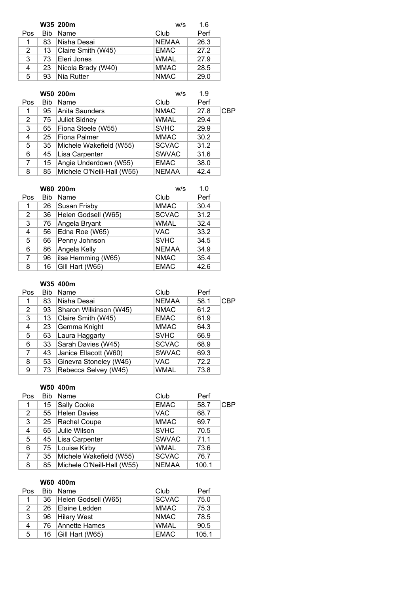|     |      | W35 200m           | w/s          | 1.6  |
|-----|------|--------------------|--------------|------|
| Pos | Bib. | Name               | Club         | Perf |
| 1   | 83   | Nisha Desai        | <b>NEMAA</b> | 26.3 |
| 2   | 13   | Claire Smith (W45) | <b>EMAC</b>  | 27.2 |
| 3   | 73   | Eleri Jones        | <b>WMAL</b>  | 27.9 |
| 4   | 23   | Nicola Brady (W40) | <b>MMAC</b>  | 28.5 |
| 5.  | 93   | Nia Rutter         | <b>NMAC</b>  | 29.0 |

|            |            | W50 200m                   | w/s          | 1.9  |            |
|------------|------------|----------------------------|--------------|------|------------|
| <b>Pos</b> | <b>Bib</b> | Name                       | Club         | Perf |            |
| 1          | 95         | ∣Anita Saunders            | <b>NMAC</b>  | 27.8 | <b>CBP</b> |
| 2          | 75         | <b>Juliet Sidney</b>       | <b>WMAL</b>  | 29.4 |            |
| 3          | 65         | Fiona Steele (W55)         | <b>SVHC</b>  | 29.9 |            |
| 4          | 25         | <b>Fiona Palmer</b>        | <b>MMAC</b>  | 30.2 |            |
| 5          | 35         | Michele Wakefield (W55)    | <b>SCVAC</b> | 31.2 |            |
| 6          | 45         | Lisa Carpenter             | <b>SWVAC</b> | 31.6 |            |
| 7          | 15         | Angie Underdown (W55)      | <b>EMAC</b>  | 38.0 |            |
| 8          | 85         | Michele O'Neill-Hall (W55) | <b>NEMAA</b> | 42.4 |            |

|                |     | W60 200m            | W/S          | 1.0  |
|----------------|-----|---------------------|--------------|------|
| Pos            | Bib | Name                | Club         | Perf |
| 1              | 26  | <b>Susan Frisby</b> | <b>MMAC</b>  | 30.4 |
| $\overline{2}$ | 36  | Helen Godsell (W65) | <b>SCVAC</b> | 31.2 |
| 3              | 76  | Angela Bryant       | <b>WMAL</b>  | 32.4 |
| 4              | 56  | Edna Roe (W65)      | VAC          | 33.2 |
| 5              | 66  | Penny Johnson       | <b>SVHC</b>  | 34.5 |
| 6              | 86  | Angela Kelly        | <b>NEMAA</b> | 34.9 |
| 7              | 96  | ilse Hemming (W65)  | <b>NMAC</b>  | 35.4 |
| 8              | 16  | Gill Hart (W65)     | <b>EMAC</b>  | 42.6 |

### **W35 400m**

| Pos | Bib | Name                   | Club         | Perf |     |
|-----|-----|------------------------|--------------|------|-----|
| 1   | 83  | Nisha Desai            | <b>NEMAA</b> | 58.1 | CBP |
| 2   | 93  | Sharon Wilkinson (W45) | <b>NMAC</b>  | 61.2 |     |
| 3   | 13  | Claire Smith (W45)     | <b>EMAC</b>  | 61.9 |     |
| 4   | 23  | Gemma Knight           | <b>MMAC</b>  | 64.3 |     |
| 5   | 63  | Laura Haggarty         | <b>SVHC</b>  | 66.9 |     |
| 6   | 33  | Sarah Davies (W45)     | <b>SCVAC</b> | 68.9 |     |
| 7   | 43  | Janice Ellacott (W60)  | <b>SWVAC</b> | 69.3 |     |
| 8   | 53  | Ginevra Stoneley (W45) | <b>VAC</b>   | 72.2 |     |
| 9   | 73  | Rebecca Selvey (W45)   | <b>WMAL</b>  | 73.8 |     |

### **W50 400m**

| Pos            | <b>Bib</b> | Name                       | Club         | Perf  |            |
|----------------|------------|----------------------------|--------------|-------|------------|
|                | 15         | Sally Cooke                | <b>EMAC</b>  | 58.7  | <b>CBP</b> |
| $\overline{2}$ | 55         | <b>Helen Davies</b>        | <b>VAC</b>   | 68.7  |            |
| 3              | 25         | Rachel Coupe               | <b>MMAC</b>  | 69.7  |            |
| $\overline{4}$ | 65         | Julie Wilson               | <b>SVHC</b>  | 70.5  |            |
| 5              | 45         | Lisa Carpenter             | <b>SWVAC</b> | 71.1  |            |
| 6              | 75         | Louise Kirby               | <b>WMAL</b>  | 73.6  |            |
| $\overline{7}$ | 35         | Michele Wakefield (W55)    | <b>SCVAC</b> | 76.7  |            |
| 8              | 85         | Michele O'Neill-Hall (W55) | <b>NEMAA</b> | 100.1 |            |

#### **W60 400m**

| Pos           |     | Bib Name            | Club         | Perf  |
|---------------|-----|---------------------|--------------|-------|
|               | 36  | Helen Godsell (W65) | <b>SCVAC</b> | 75.0  |
| $\mathcal{P}$ | 26. | Elaine Ledden       | <b>MMAC</b>  | 75.3  |
| 3             | 96  | Hilary West         | <b>NMAC</b>  | 78.5  |
| 4             |     | 76 Annette Hames    | <b>WMAL</b>  | 90.5  |
| 5             | 16  | Gill Hart (W65)     | <b>EMAC</b>  | 105.1 |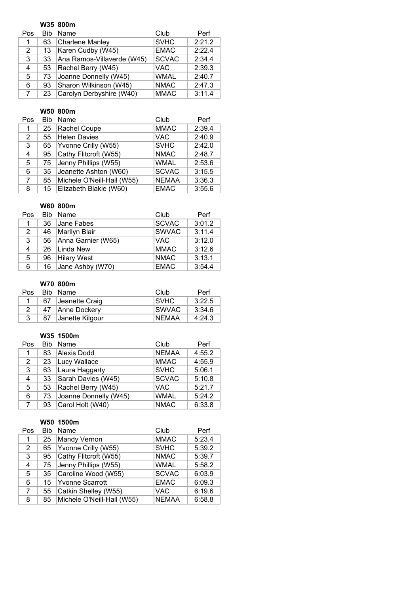|     |            | W35 800m                   |              |        |
|-----|------------|----------------------------|--------------|--------|
| Pos | <b>Bib</b> | Name                       | Club         | Perf   |
| 1   | 63         | Charlene Manley            | <b>SVHC</b>  | 2:21.2 |
| 2   | 13         | Karen Cudby (W45)          | <b>EMAC</b>  | 2:22.4 |
| 3   | 33         | Ana Ramos-Villaverde (W45) | <b>SCVAC</b> | 2:34.4 |
| 4   | 53         | Rachel Berry (W45)         | <b>VAC</b>   | 2:39.3 |
| 5   | 73         | Joanne Donnelly (W45)      | <b>WMAL</b>  | 2:40.7 |
| 6   | 93         | Sharon Wilkinson (W45)     | <b>NMAC</b>  | 2:47.3 |
| 7   | 23         | Carolyn Derbyshire (W40)   | <b>MMAC</b>  | 3:11.4 |

### **W50 800m**

| Pos | <b>Bib</b> | Name                       | Club         | Perf   |
|-----|------------|----------------------------|--------------|--------|
| 1   | 25         | Rachel Coupe               | <b>MMAC</b>  | 2:39.4 |
| 2   | 55         | Helen Davies               | VAC.         | 2:40.9 |
| 3   | 65         | Yvonne Crilly (W55)        | <b>SVHC</b>  | 2:42.0 |
| 4   | 95         | Cathy Flitcroft (W55)      | <b>NMAC</b>  | 2:48.7 |
| 5   | 75         | Jenny Phillips (W55)       | <b>WMAL</b>  | 2:53.6 |
| 6   | 35         | Jeanette Ashton (W60)      | <b>SCVAC</b> | 3:15.5 |
| 7   | 85         | Michele O'Neill-Hall (W55) | <b>NEMAA</b> | 3:36.3 |
| 8   | 15         | Elizabeth Blakie (W60)     | <b>EMAC</b>  | 3:55.6 |

# **W60 800m**

| Pos          |    | Bib Name           | Club         | Perf   |
|--------------|----|--------------------|--------------|--------|
| 1.           | 36 | <b>Jane Fabes</b>  | <b>SCVAC</b> | 3:01.2 |
| $\mathbf{2}$ | 46 | Marilyn Blair      | <b>SWVAC</b> | 3:11.4 |
| 3            | 56 | Anna Garnier (W65) | <b>VAC</b>   | 3:12.0 |
| 4            |    | 26 Linda New       | <b>MMAC</b>  | 3:12.6 |
| 5            | 96 | <b>Hilary West</b> | <b>NMAC</b>  | 3:13.1 |
| 6            | 16 | Jane Ashby (W70)   | <b>EMAC</b>  | 3:54.4 |

### **W70 800m**

| Pos.          |    | Bib Name        | Club          | Perf   |
|---------------|----|-----------------|---------------|--------|
|               | 67 | Jeanette Craig  | <b>SVHC</b>   | 3:22.5 |
| $\mathcal{P}$ |    | 47 Anne Dockery | <b>ISWVAC</b> | 3:34.6 |
| 3             | 87 | Janette Kilgour | <b>NEMAA</b>  | 4:24.3 |

#### **W35 1500m**

| Pos            | <b>Bib</b> | Name                  | Club         | Perf   |
|----------------|------------|-----------------------|--------------|--------|
| 1              | 83         | Alexis Dodd           | <b>NEMAA</b> | 4:55.2 |
| 2              | 23         | Lucy Wallace          | <b>MMAC</b>  | 4:55.9 |
| 3              | 63         | Laura Haggarty        | <b>SVHC</b>  | 5:06.1 |
| 4              | 33         | Sarah Davies (W45)    | <b>SCVAC</b> | 5:10.8 |
| 5              | 53         | Rachel Berry (W45)    | <b>VAC</b>   | 5:21.7 |
| 6              | 73         | Joanne Donnelly (W45) | <b>WMAL</b>  | 5:24.2 |
| $\overline{7}$ | 93         | Carol Holt (W40)      | <b>NMAC</b>  | 6:33.8 |

#### **W50 1500m**

| Pos | <b>Bib</b> | Name                       | Club         | Perf   |
|-----|------------|----------------------------|--------------|--------|
| 1   | 25         | <b>Mandy Vernon</b>        | <b>MMAC</b>  | 5:23.4 |
| 2   | 65         | Yvonne Crilly (W55)        | <b>SVHC</b>  | 5:39.2 |
| 3   | 95         | Cathy Flitcroft (W55)      | <b>NMAC</b>  | 5:39.7 |
| 4   | 75         | Jenny Phillips (W55)       | <b>WMAL</b>  | 5:58.2 |
| 5   | 35         | Caroline Wood (W55)        | <b>SCVAC</b> | 6:03.9 |
| 6   | 15         | Yvonne Scarrott            | <b>EMAC</b>  | 6:09.3 |
| 7   | 55         | Catkin Shelley (W55)       | <b>VAC</b>   | 6:19.6 |
| 8   | 85         | Michele O'Neill-Hall (W55) | <b>NEMAA</b> | 6:58.8 |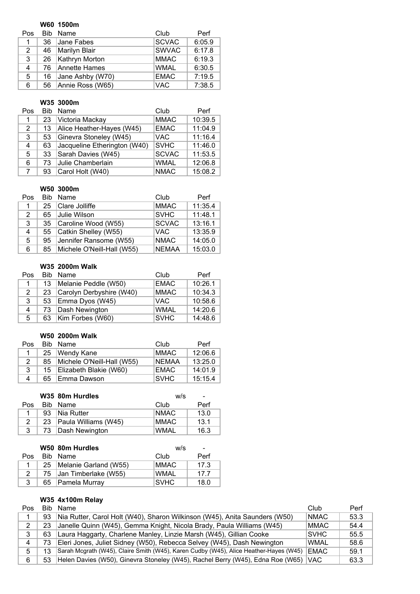#### **W60 1500m**

| Pos                  | Bib. | Name             | Club         | Perf   |
|----------------------|------|------------------|--------------|--------|
|                      | 36   | Jane Fabes       | <b>SCVAC</b> | 6:05.9 |
| $\mathbf{2}^{\circ}$ | 46   | Marilyn Blair    | <b>SWVAC</b> | 6:17.8 |
| 3                    | 26   | Kathryn Morton   | <b>MMAC</b>  | 6:19.3 |
| 4                    |      | 76 Annette Hames | <b>WMAL</b>  | 6:30.5 |
| 5.                   | 16   | Jane Ashby (W70) | <b>EMAC</b>  | 7:19.5 |
| 6                    | 56   | Annie Ross (W65) | <b>VAC</b>   | 7:38.5 |

### **W35 3000m**

| Pos            | <b>Rib</b> | Name                         | Club         | Perf    |
|----------------|------------|------------------------------|--------------|---------|
| 1              | 23         | Victoria Mackay              | <b>MMAC</b>  | 10:39.5 |
| $\overline{2}$ | 13         | Alice Heather-Hayes (W45)    | <b>EMAC</b>  | 11:04.9 |
| 3              | 53         | Ginevra Stoneley (W45)       | <b>VAC</b>   | 11:16.4 |
| 4              | 63         | Jacqueline Etherington (W40) | <b>SVHC</b>  | 11:46.0 |
| 5              | 33         | Sarah Davies (W45)           | <b>SCVAC</b> | 11:53.5 |
| 6              | 73         | Julie Chamberlain            | <b>WMAL</b>  | 12:06.8 |
|                | 93         | Carol Holt (W40)             | <b>NMAC</b>  | 15:08.2 |

### **W50 3000m**

| Pos | Bib. | Name                       | Club         | Perf    |
|-----|------|----------------------------|--------------|---------|
| 1.  | 25   | Clare Jolliffe             | <b>MMAC</b>  | 11:35.4 |
| 2   | 65   | Julie Wilson               | <b>SVHC</b>  | 11:48.1 |
| 3   | 35   | Caroline Wood (W55)        | <b>SCVAC</b> | 13:16.1 |
| 4   |      | 55 Catkin Shelley (W55)    | <b>VAC</b>   | 13:35.9 |
| 5.  | 95   | Jennifer Ransome (W55)     | <b>NMAC</b>  | 14:05.0 |
| 6   | 85   | Michele O'Neill-Hall (W55) | <b>NEMAA</b> | 15:03.0 |

### **W35 2000m Walk**

| Pos |    | Bib Name                 | Club        | Perf    |
|-----|----|--------------------------|-------------|---------|
|     | 13 | Melanie Peddle (W50)     | <b>EMAC</b> | 10:26.1 |
| 2   | 23 | Carolyn Derbyshire (W40) | <b>MMAC</b> | 10:34.3 |
| 3   | 53 | Emma Dyos (W45)          | <b>VAC</b>  | 10:58.6 |
| 4   | 73 | Dash Newington           | <b>WMAL</b> | 14:20.6 |
| 5   | 63 | Kim Forbes (W60)         | <b>SVHC</b> | 14:48.6 |

#### **W50 2000m Walk**

| Pos |    | Bib Name<br>Club           |              | Perf    |
|-----|----|----------------------------|--------------|---------|
|     |    | 25   Wendy Kane            | <b>MMAC</b>  | 12:06.6 |
| 2   | 85 | Michele O'Neill-Hall (W55) | <b>NEMAA</b> | 13:25.0 |
| 3   | 15 | Elizabeth Blakie (W60)     | EMAC         | 14:01.9 |
| 4   | 65 | Emma Dawson                | <b>SVHC</b>  | 15:15.4 |

|     |    | W35 80m Hurdles      | w/s         | ٠    |
|-----|----|----------------------|-------------|------|
| Pos |    | Bib Name             | Club        | Perf |
|     | 93 | Nia Rutter           | <b>NMAC</b> | 13.0 |
| 2   | 23 | Paula Williams (W45) | <b>MMAC</b> | 13.1 |
| 3   | 73 | Dash Newington       | <b>WMAL</b> | 16.3 |

|               | W50 80m Hurdles            | W/S         | $\overline{\phantom{a}}$ |
|---------------|----------------------------|-------------|--------------------------|
| Pos           | Bib Name                   | Club        | Perf                     |
|               | 25   Melanie Garland (W55) | <b>MMAC</b> | 17.3                     |
| $\mathcal{P}$ | 75 Jan Timberlake (W55)    | <b>WMAL</b> | 17.7                     |
| 3             | 65 Pamela Murray           | <b>SVHC</b> | 18.0                     |

### **W35 4x100m Relay**

| Pos | Bib | Name                                                                                  | Club         | Perf |
|-----|-----|---------------------------------------------------------------------------------------|--------------|------|
|     | 93  | Nia Rutter, Carol Holt (W40), Sharon Wilkinson (W45), Anita Saunders (W50)            | <b>NMAC</b>  | 53.3 |
| 2   | 23  | Janelle Quinn (W45), Gemma Knight, Nicola Brady, Paula Williams (W45)                 | <b>IMMAC</b> | 54.4 |
| 3   | 63  | Laura Haggarty, Charlene Manley, Linzie Marsh (W45), Gillian Cooke                    | ISVHC.       | 55.5 |
|     | 73  | Eleri Jones, Juliet Sidney (W50), Rebecca Selvey (W45), Dash Newington                | WMAL         | 58.6 |
| 5.  | 13  | Sarah Mcgrath (W45), Claire Smith (W45), Karen Cudby (W45), Alice Heather-Hayes (W45) | <b>EMAC</b>  | 59.1 |
| 6   | 53  | Helen Davies (W50), Ginevra Stoneley (W45), Rachel Berry (W45), Edna Roe (W65)        | IVAC.        | 63.3 |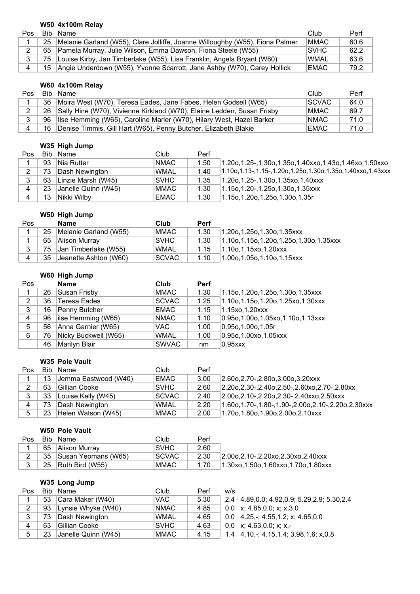### **W50 4x100m Relay**

| <b>Pos</b> |     | Bib Name                                                                     | Club         | Perf |
|------------|-----|------------------------------------------------------------------------------|--------------|------|
|            | 25  | Melanie Garland (W55), Clare Jolliffe, Joanne Willoughby (W55), Fiona Palmer | <b>IMMAC</b> | 60.6 |
|            |     | 65   Pamela Murray, Julie Wilson, Emma Dawson, Fiona Steele (W55)            | <b>ISVHC</b> | 62.2 |
|            | 75. | Louise Kirby, Jan Timberlake (W55), Lisa Franklin, Angela Bryant (W60)       | WMAL         | 63.6 |
|            |     | 15 Angie Underdown (W55), Yvonne Scarrott, Jane Ashby (W70), Carey Hollick   | EMAC         | 79.2 |

# **W60 4x100m Relay**

| Pos |    | Bib Name                                                                    | Club         | Perf |
|-----|----|-----------------------------------------------------------------------------|--------------|------|
|     | 36 | Moira West (W70), Teresa Eades, Jane Fabes, Helen Godsell (W65)             | <b>SCVAC</b> | 64.0 |
| 2   |    | 26   Sally Hine (W70), Vivienne Kirkland (W70), Elaine Ledden, Susan Frisby | <b>MMAC</b>  | 69.7 |
| 3   |    | 96 Ilse Hemming (W65), Caroline Marler (W70), Hilary West, Hazel Barker     | <b>NMAC</b>  | 71.0 |
|     | 16 | Denise Timmis, Gill Hart (W65), Penny Butcher, Elizabeth Blakie             | EMAC         | 71.0 |

### **W35 High Jump**

| Pos            |    | Bib Name                | Club              | Perf |                                                                      |
|----------------|----|-------------------------|-------------------|------|----------------------------------------------------------------------|
|                |    | 93 Nia Rutter           | NMAC              | 1.50 | 1.20o, 1.25-, 1.30o, 1.35o, 1.40xxo, 1.43o, 1.46xo, 1.50xxo          |
| $\mathbf{2}$   |    | 73 Dash Newington       | <b>WMAL</b>       | 1.40 | $1.10$ o, 1.13-, 1.15-, 1.20o, 1.25o, 1.30o, 1.35o, 1.40xxo, 1.43xxx |
|                |    | 63   Linzie Marsh (W45) | SVHC              | 1.35 | 1.20o,1.25-,1.30o,1.35xo,1.40xxx                                     |
| $\overline{4}$ |    | 23 Janelle Quinn (W45)  | MMAC <sup>1</sup> | 1.30 | $ 1.15$ o, $1.20$ -, $1.25$ o, $1.30$ o, $1.35$ xxx                  |
| $\overline{4}$ | 13 | Nikki Wilby             | EMAC              | 1.30 | $ 1.15$ o, $1.20$ o, $1.25$ o, $1.30$ o, $1.35$ r                    |

### **W50 High Jump**

| <b>Pos</b> |     | <b>Name</b>                 | Club         | <b>Perf</b> |                                               |
|------------|-----|-----------------------------|--------------|-------------|-----------------------------------------------|
|            | 25  | Melanie Garland (W55)       | <b>MMAC</b>  | 1.30        | 1.20o,1.25o,1.30o,1.35xxx                     |
|            | 65  | Alison Murray               | <b>SVHC</b>  | 1.30        | $1.10$ o, 1.15o, 1.20o, 1.25o, 1.30o, 1.35xxx |
| 3          | 75. | <b>Jan Timberlake (W55)</b> | <b>WMAL</b>  | 1.15        | $1.10$ o, 1.15xo, 1.20xxx                     |
| 4          | 35. | Jeanette Ashton (W60)       | <b>SCVAC</b> | 1.10        | $1.00$ o, 1.05o, 1.10o, 1.15xxx               |

# **W60 High Jump**

| Pos |    | <b>Name</b>          | Club         | <b>Perf</b> |                                      |
|-----|----|----------------------|--------------|-------------|--------------------------------------|
| 1   | 26 | Susan Frisby         | <b>MMAC</b>  | 1.30        | 1.15o,1.20o,1.25o,1.30o,1.35xxx      |
| 2   | 36 | Teresa Eades         | <b>SCVAC</b> | 1.25        | 1.10o,1.15o,1.20o,1.25xo,1.30xxx     |
| 3   | 16 | Penny Butcher        | <b>EMAC</b>  | 1.15        | 1.15xo, 1.20xxx                      |
| 4   | 96 | ilse Hemming (W65)   | <b>NMAC</b>  | 1.10        | 0.95o, 1.00o, 1.05xo, 1.10o, 1.13xxx |
| 5   | 56 | Anna Garnier (W65)   | VAC.         | 1.00        | $0.95$ o, 1.00o, 1.05r               |
| 6   | 76 | Nicky Buckwell (W65) | <b>WMAL</b>  | 1.00        | 0.95o, 1.00xo, 1.05xxx               |
|     | 46 | Marilyn Blair        | <b>SWVAC</b> | nm          | $0.95$ $xxx$                         |

#### **W35 Pole Vault**

| Pos |    | Bib Name             | Club         | Perf |                                                                        |
|-----|----|----------------------|--------------|------|------------------------------------------------------------------------|
|     | 13 | Jemma Eastwood (W40) | <b>EMAC</b>  | 3.00 | $ 2.60$ o, $2.70$ -, $2.80$ o, $3.00$ o, $3.20$ xxx                    |
| ົ   | 63 | ∣Gillian Cooke       | <b>SVHC</b>  | 2.60 | $2.20$ o, $2.30$ -, $2.40$ o, $2.50$ -, $2.60$ xo, $2.70$ -, $2.80$ xx |
| 3   | 33 | Louise Kelly (W45)   | <b>SCVAC</b> | 2.40 | 2.00o, 2.10-, 2.20o, 2.30-, 2.40xxo, 2.50xxx                           |
| 4   | 73 | Dash Newington       | <b>WMAL</b>  | 2.20 | 1.60o, 1.70-, 1.80-, 1.90-, 2.00o, 2.10-, 2.20o, 2.30xxx               |
| 5   | 23 | Helen Watson (W45)   | <b>MMAC</b>  | 2.00 | 1.70o,1.80o,1.90o,2.00o,2.10xxx                                        |

## **W50 Pole Vault**

| Pos. | Bib Name                   | Club         | Perf |                                          |
|------|----------------------------|--------------|------|------------------------------------------|
|      | 65 Alison Murray           | <b>SVHC</b>  | 2.60 |                                          |
|      | 35   Susan Yeomans (W65)   | <b>SCVAC</b> | 2.30 | $ 2.00$ o.2.10-.2.20xo.2.30xo.2.40xxx    |
|      | 25 $\vert$ Ruth Bird (W55) | <b>MMAC</b>  | 1.70 | $1.30xo, 1.50o, 1.60xxo, 1.70o, 1.80xxx$ |

# **W35 Long Jump**

| Pos |    | Bib Name            | Club        | Perf | w/s                                                    |
|-----|----|---------------------|-------------|------|--------------------------------------------------------|
|     | 53 | Cara Maker (W40)    | VAC.        | 5.30 | 2.4 4.89, 0.0; 4.92, 0.9; 5.29, 2.9; 5.30, 2.4         |
| 2   | 93 | Lynsie Whyke (W40)  | <b>NMAC</b> | 4.85 | 0.0 $x$ ; 4.85,0.0; $x$ ; $x$ , 3.0                    |
| 3   | 73 | Dash Newington      | <b>WMAL</b> | 4.65 | 0.0 4.25, -; 4.55, 1.2; x; 4.65, 0.0                   |
| 4   | 63 | Gillian Cooke       | <b>SVHC</b> | 4.63 | 0.0 $x$ ; 4.63,0.0; x; x,-                             |
| 5   | 23 | Janelle Quinn (W45) | <b>MMAC</b> | 4.15 | 1.4 $4.10, \frac{1}{2}$ , 4.15, 1.4; 3.98, 1.6; x, 0.8 |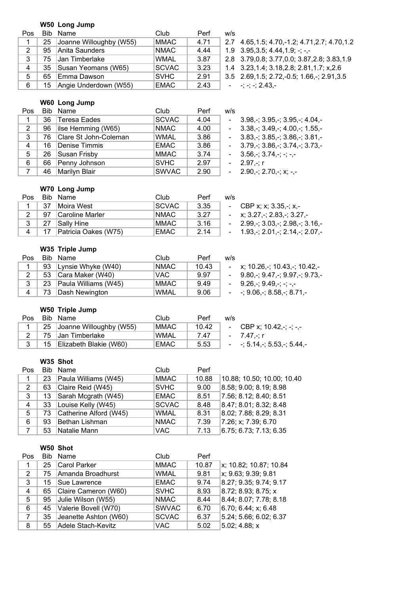#### **W50 Long Jump**

| Pos         |    | Bib Name                | Club         | Perf | W/S |
|-------------|----|-------------------------|--------------|------|-----|
|             | 25 | Joanne Willoughby (W55) | <b>MMAC</b>  | 4.71 | 2.7 |
| $2^{\circ}$ | 95 | Anita Saunders          | <b>NMAC</b>  | 4.44 | 1.9 |
| 3           | 75 | Jan Timberlake          | <b>WMAL</b>  | 3.87 | 2.8 |
| 4           | 35 | Susan Yeomans (W65)     | <b>SCVAC</b> | 3.23 | 1.4 |
| 5           | 65 | Emma Dawson             | <b>SVHC</b>  | 2.91 | 3.5 |
| 6.          | 15 | Angie Underdown (W55)   | <b>EMAC</b>  | 2.43 |     |

2.7 4.65,1.5; 4.70,-1.2; 4.71,2.7; 4.70,1.2

- $1.9$   $3.95,3.5$ ;  $4.44,1.9$ ;  $-$ ;  $-$ ,-
- 2.8 3.79,0.8; 3.77,0.0; 3.87,2.8; 3.83,1.9
- 1.4 3.23,1.4; 3.18,2.8; 2.81,1.7; x,2.6
- 3.5 2.69,1.5; 2.72,-0.5; 1.66,-; 2.91,3.5  $-$ ;  $-$ ;  $-$ ; 2.43,-

#### **W60 Long Jump**

| Pos |     | Bib Name                     | Club         | Perf | w/s                                                               |
|-----|-----|------------------------------|--------------|------|-------------------------------------------------------------------|
|     |     | 36 Teresa Eades              | <b>SCVAC</b> | 4.04 | $3.98 - 3.95 - 3.95 - 3.95$                                       |
| 2   |     | 96 <b>lise Hemming (W65)</b> | <b>NMAC</b>  | 4.00 | $-3.38, -3.49, -3.40, -3.155, -$                                  |
| 3   | 76. | Clare St John-Coleman        | <b>WMAL</b>  | 3.86 | $-3.83, -3.85, -3.86, -3.81, -$                                   |
| 4   | 16  | Denise Timmis                | <b>EMAC</b>  | 3.86 | $-3.79 - 3.86 - 3.74 - 3.73$                                      |
| 5   |     | 26 Susan Frisby              | MMAC         | 3.74 | $-3.56 - 3.74 - - -$                                              |
| 6   |     | 66 Penny Johnson             | <b>SVHC</b>  | 2.97 | $-2.97 - r$                                                       |
|     | 46  | Marilyn Blair                | <b>SWVAC</b> | 2.90 | $-2.90, \frac{1}{2}$ ; 2.70, $\frac{1}{2}$ ; x; $\frac{1}{2}$ , - |

### **W70 Long Jump**

| Pos.           |    | Bib Name             | Club        | Perf | w/s                                                                                                                                                                                                                                                                                                                      |
|----------------|----|----------------------|-------------|------|--------------------------------------------------------------------------------------------------------------------------------------------------------------------------------------------------------------------------------------------------------------------------------------------------------------------------|
|                | 37 | Moira West           | SCVAC       | 3.35 | - CBP x; x; 3.35,-; x,-                                                                                                                                                                                                                                                                                                  |
| 2              |    | 97 Caroline Marler   | <b>NMAC</b> | 3.27 | - $x$ ; 3.27,-; 2.83,-; 3.27,-                                                                                                                                                                                                                                                                                           |
|                | 27 | Sally Hine           | MMAC        | 3.16 | $-2.99, \frac{1}{2}3.03, \frac{1}{2}2.98, \frac{1}{2}3.16, \frac{1}{2}3.03, \frac{1}{2}3.03, \frac{1}{2}3.03, \frac{1}{2}3.03, \frac{1}{2}3.03, \frac{1}{2}3.03, \frac{1}{2}3.03, \frac{1}{2}3.03, \frac{1}{2}3.03, \frac{1}{2}3.03, \frac{1}{2}3.03, \frac{1}{2}3.03, \frac{1}{2}3.03, \frac{1}{2}3.03, \frac{1}{2}3.0$ |
| $\overline{4}$ | 17 | Patricia Oakes (W75) | EMAC        | 2.14 | $-1.93, \frac{1}{2}.01, \frac{1}{2}.14, \frac{1}{2}.07, \frac{1}{2}.$                                                                                                                                                                                                                                                    |

### **W35 Triple Jump**

| Pos            |     | Bib Name                | Club        | Perf  | w/s                                                |
|----------------|-----|-------------------------|-------------|-------|----------------------------------------------------|
|                |     | 93 Lynsie Whyke (W40)   | NMAC        | 10.43 | - x; $10.26$ , $-$ ; $10.43$ , $-$ ; $10.42$ , $-$ |
| $\overline{2}$ | 53  | Cara Maker (W40)        | VAC.        | 9.97  | $-$ 9.80, -; 9.47, -; 9.97, -; 9.73, -             |
| 3              |     | 23 Paula Williams (W45) | IMMAC:      | 9.49  | $-$ 9.26 - 9.49 - - - - -                          |
|                | 73. | Dash Newington          | <b>WMAL</b> | 9.06  | $ -$ ; 9.06, -; 8.58, -; 8.71, -                   |

#### **W50 Triple Jump**

|  | Pos Bib Name               | Club        | Perf  | w/s |                                  |
|--|----------------------------|-------------|-------|-----|----------------------------------|
|  | 25 Joanne Willoughby (W55) | <b>MMAC</b> | 10.42 |     | - CBP x; $10.42 - (-,-)$         |
|  | 75 IJan Timberlake         | WMAL        | 7.47  |     | $-7.47 - r$                      |
|  | 15 Elizabeth Blakie (W60)  | EMAC        | 5.53  |     | $ -$ ; 5.14, -; 5.53, -; 5.44, - |

### **W35 Shot**

| Pos          |    | Bib Name               | Club         | Perf  |                            |
|--------------|----|------------------------|--------------|-------|----------------------------|
| $\mathbf{1}$ | 23 | Paula Williams (W45)   | <b>MMAC</b>  | 10.88 | 10.88; 10.50; 10.00; 10.40 |
| 2            | 63 | Claire Reid (W45)      | <b>SVHC</b>  | 9.00  | 8.58; 9.00; 8.19; 8.98     |
| 3            | 13 | Sarah Mcgrath (W45)    | <b>EMAC</b>  | 8.51  | 7.56; 8.12; 8.40; 8.51     |
| 4            | 33 | Louise Kelly (W45)     | <b>SCVAC</b> | 8.48  | 8.47; 8.01; 8.32; 8.48     |
| 5            | 73 | Catherine Alford (W45) | <b>WMAL</b>  | 8.31  | 8.02; 7.88; 8.29; 8.31     |
| 6            | 93 | Bethan Lishman         | <b>NMAC</b>  | 7.39  | 7.26; x; 7.39; 6.70        |
| 7            | 53 | Natalie Mann           | VAC.         | 7.13  | 6.75; 6.73; 7.13; 6.35     |

### **W50 Shot**

| Pos | Bib | <b>Name</b>             | Club         | Perf  |                        |
|-----|-----|-------------------------|--------------|-------|------------------------|
|     | 25  | Carol Parker            | <b>MMAC</b>  | 10.87 | x; 10.82; 10.87; 10.84 |
| 2   | 75  | Amanda Broadhurst       | <b>WMAL</b>  | 9.81  | x; 9.63; 9.39; 9.81    |
| 3   | 15  | Sue Lawrence            | <b>EMAC</b>  | 9.74  | 8.27; 9.35; 9.74; 9.17 |
| 4   | 65  | Claire Cameron (W60)    | <b>SVHC</b>  | 8.93  | 8.72; 8.93; 8.75; x    |
| 5   | 95  | Julie Wilson (W55)      | <b>NMAC</b>  | 8.44  | 8.44; 8.07; 7.78; 8.18 |
| 6   |     | 45 Valerie Bovell (W70) | <b>SWVAC</b> | 6.70  | 6.70; 6.44; x; 6.48    |
| 7   | 35  | Jeanette Ashton (W60)   | <b>SCVAC</b> | 6.37  | 5.24; 5.66; 6.02; 6.37 |
| 8   |     | 55 Adele Stach-Kevitz   | <b>VAC</b>   | 5.02  | 5.02; 4.88; x          |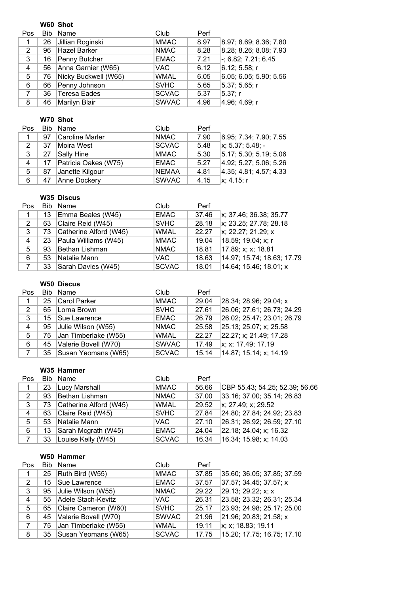|                |     | W60 Shot             |              |      |                        |
|----------------|-----|----------------------|--------------|------|------------------------|
| Pos            | Bib | Name                 | Club         | Perf |                        |
| $\mathbf 1$    | 26  | Jillian Roginski     | <b>MMAC</b>  | 8.97 | 8.97; 8.69; 8.36; 7.80 |
| 2              | 96  | Hazel Barker         | <b>NMAC</b>  | 8.28 | 8.28; 8.26; 8.08; 7.93 |
| 3              | 16  | Penny Butcher        | <b>EMAC</b>  | 7.21 | $-; 6.82; 7.21; 6.45$  |
| 4              | 56  | Anna Garnier (W65)   | <b>VAC</b>   | 6.12 | 6.12; 5.58; r          |
| 5              | 76  | Nicky Buckwell (W65) | <b>WMAL</b>  | 6.05 | 6.05; 6.05; 5.90; 5.56 |
| 6              | 66  | Penny Johnson        | <b>SVHC</b>  | 5.65 | 5.37; 5.65; r          |
| $\overline{7}$ | 36  | Teresa Eades         | <b>SCVAC</b> | 5.37 | 5.37; r                |
| 8              | 46  | Marilyn Blair        | <b>SWVAC</b> | 4.96 | 4.96; 4.69; r          |

# **W70 Shot**

| Pos |    | Bib Name             | Club         | Perf |                          |
|-----|----|----------------------|--------------|------|--------------------------|
| 1   | 97 | Caroline Marler      | <b>NMAC</b>  | 7.90 | 6.95; 7.34; 7.90; 7.55   |
| 2   | 37 | Moira West           | <b>SCVAC</b> | 5.48 | $\vert x; 5.37; 5.48; -$ |
| 3   | 27 | Sally Hine           | MMAC         | 5.30 | 5.17; 5.30; 5.19; 5.06   |
| 4   | 17 | Patricia Oakes (W75) | <b>EMAC</b>  | 5.27 | 4.92; 5.27; 5.06; 5.26   |
| 5   | 87 | Janette Kilgour      | <b>NEMAA</b> | 4.81 | 4.35; 4.81; 4.57; 4.33   |
| 6   | 47 | Anne Dockery         | <b>SWVAC</b> | 4.15 | x: 4.15: r               |
|     |    |                      |              |      |                          |

# **W35 Discus**

| Pos          |    | Bib Name               | Club         | Perf  |                            |
|--------------|----|------------------------|--------------|-------|----------------------------|
| $\mathbf{1}$ | 13 | Emma Beales (W45)      | <b>EMAC</b>  | 37.46 | x; 37.46; 36.38; 35.77     |
| 2            | 63 | Claire Reid (W45)      | <b>SVHC</b>  | 28.18 | x; 23.25; 27.78; 28.18     |
| 3            | 73 | Catherine Alford (W45) | <b>WMAL</b>  | 22.27 | x; 22.27; 21.29; x         |
| 4            | 23 | Paula Williams (W45)   | <b>MMAC</b>  | 19.04 | 18.59; 19.04; x; r         |
| 5            | 93 | Bethan Lishman         | <b>NMAC</b>  | 18.81 | 17.89; x; x; 18.81         |
| 6            | 53 | Natalie Mann           | <b>VAC</b>   | 18.63 | 14.97; 15.74; 18.63; 17.79 |
| 7            | 33 | Sarah Davies (W45)     | <b>SCVAC</b> | 18.01 | 14.64; 15.46; 18.01; x     |

### **W50 Discus**

| Pos |    | Bib Name                 | Club         | Perf  |                            |
|-----|----|--------------------------|--------------|-------|----------------------------|
| 1   |    | 25 Carol Parker          | <b>MMAC</b>  | 29.04 | 28.34; 28.96; 29.04; x     |
| 2   | 65 | Lorna Brown              | <b>SVHC</b>  | 27.61 | 26.06; 27.61; 26.73; 24.29 |
| 3   |    | 15   Sue Lawrence        | <b>EMAC</b>  | 26.79 | 26.02; 25.47; 23.01; 26.79 |
| 4   | 95 | Julie Wilson (W55)       | <b>NMAC</b>  | 25.58 | 25.13; 25.07; x; 25.58     |
| 5   | 75 | Jan Timberlake (W55)     | <b>WMAL</b>  | 22.27 | 22.27; x; 21.49; 17.28     |
| 6   | 45 | Valerie Bovell (W70)     | <b>SWVAC</b> | 17.49 | x; x; 17.49; 17.19         |
| 7   |    | 35   Susan Yeomans (W65) | <b>SCVAC</b> | 15.14 | 14.87; 15.14; x; 14.19     |

#### **W35 Hammer**

| Pos |    | Bib Name                  | Club         | Perf  |                                |
|-----|----|---------------------------|--------------|-------|--------------------------------|
| 1   | 23 | Lucy Marshall             | MMAC         | 56.66 | CBP 55.43; 54.25; 52.39; 56.66 |
| 2   | 93 | Bethan Lishman            | <b>NMAC</b>  | 37.00 | 33.16; 37.00; 35.14; 26.83     |
| 3   |    | 73 Catherine Alford (W45) | <b>WMAL</b>  | 29.52 | x; 27.49; x; 29.52             |
| 4   | 63 | Claire Reid (W45)         | <b>SVHC</b>  | 27.84 | 24.80; 27.84; 24.92; 23.83     |
| 5   | 53 | Natalie Mann              | VAC.         | 27.10 | 26.31; 26.92; 26.59; 27.10     |
| 6   | 13 | Sarah Mcgrath (W45)       | EMAC         | 24.04 | 22.18; 24.04; x; 16.32         |
|     | 33 | Louise Kelly (W45)        | <b>SCVAC</b> | 16.34 | 16.34; 15.98; x; 14.03         |

#### **W50 Hammer**

| Pos |    | Bib Name             | Club         | Perf  |                            |
|-----|----|----------------------|--------------|-------|----------------------------|
| 1   | 25 | Ruth Bird (W55)      | <b>MMAC</b>  | 37.85 | 35.60; 36.05; 37.85; 37.59 |
| 2   | 15 | Sue Lawrence         | <b>EMAC</b>  | 37.57 | 37.57; 34.45; 37.57; x     |
| 3   | 95 | Julie Wilson (W55)   | <b>NMAC</b>  | 29.22 | 29.13; 29.22; x; x         |
| 4   | 55 | Adele Stach-Kevitz   | VAC.         | 26.31 | 23.58; 23.32; 26.31; 25.34 |
| 5   | 65 | Claire Cameron (W60) | <b>SVHC</b>  | 25.17 | 23.93; 24.98; 25.17; 25.00 |
| 6   | 45 | Valerie Bovell (W70) | <b>SWVAC</b> | 21.96 | 21.96; 20.83; 21.58; x     |
| 7   | 75 | Jan Timberlake (W55) | <b>WMAL</b>  | 19.11 | x; x; 18.83; 19.11         |
| 8   | 35 | Susan Yeomans (W65)  | <b>SCVAC</b> | 17.75 | 15.20; 17.75; 16.75; 17.10 |